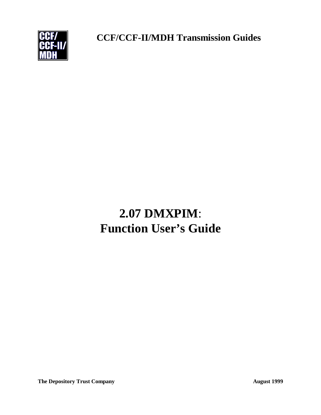

**CCF/CCF-II/MDH Transmission Guides**

# **2.07 DMXPIM**: **Function User's Guide**

**The Depository Trust Company August 1999**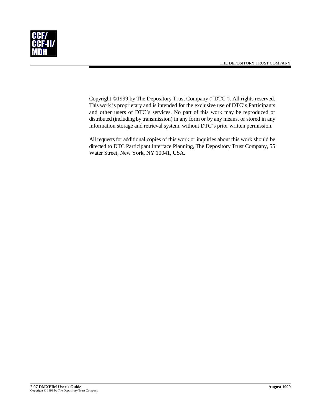



Copyright ©1999 by The Depository Trust Company ("DTC"). All rights reserved. This work is proprietary and is intended for the exclusive use of DTC's Participants and other users of DTC's services. No part of this work may be reproduced or distributed (including by transmission) in any form or by any means, or stored in any information storage and retrieval system, without DTC's prior written permission.

All requests for additional copies of this work or inquiries about this work should be directed to DTC Participant Interface Planning, The Depository Trust Company, 55 Water Street, New York, NY 10041, USA.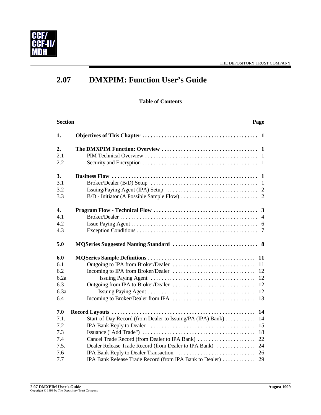

# **2.07 DMXPIM: Function User's Guide**

**Table of Contents**

| <b>Section</b>                                  | Page                                                                                                                                                                                                           |
|-------------------------------------------------|----------------------------------------------------------------------------------------------------------------------------------------------------------------------------------------------------------------|
| 1.                                              |                                                                                                                                                                                                                |
| 2.<br>2.1<br>2.2                                |                                                                                                                                                                                                                |
| 3.<br>3.1<br>3.2<br>3.3                         | Broker/Dealer (B/D) Setup $\dots \dots \dots \dots \dots \dots \dots \dots \dots \dots \dots \dots \dots \dots \dots \dots$                                                                                    |
| $\overline{4}$ .<br>4.1<br>4.2<br>4.3           |                                                                                                                                                                                                                |
| 5.0                                             |                                                                                                                                                                                                                |
| 6.0<br>6.1<br>6.2<br>6.2a<br>6.3<br>6.3a<br>6.4 | 11<br>12<br>12<br>12<br>12<br>13                                                                                                                                                                               |
| 7.0<br>7.1.<br>7.2<br>7.3<br>7.4<br>7.5.<br>7.6 | 14<br>Start-of-Day Record (from Dealer to Issuing/PA (IPA) Bank)<br>14<br>15<br>18<br>Cancel Trade Record (from Dealer to IPA Bank)<br>22<br>Dealer Release Trade Record (from Dealer to IPA Bank)<br>24<br>26 |
| 7.7                                             | IPA Bank Release Trade Record (from IPA Bank to Dealer)<br>29                                                                                                                                                  |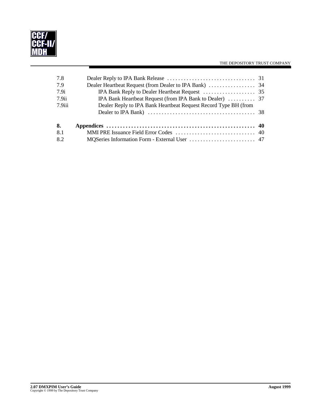

| 7.8    |                                                                 |  |
|--------|-----------------------------------------------------------------|--|
| 7.9    |                                                                 |  |
| 7.9i   |                                                                 |  |
| 7.9ii  |                                                                 |  |
| 7.9iii | Dealer Reply to IPA Bank Heartbeat Request Record Type BH (from |  |
|        |                                                                 |  |
| 8.     |                                                                 |  |
| 8.1    |                                                                 |  |
| 8.2    |                                                                 |  |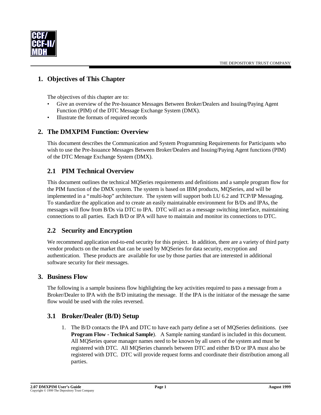

# **1. Objectives of This Chapter**

The objectives of this chapter are to:

- Give an overview of the Pre-Issuance Messages Between Broker/Dealers and Issuing/Paying Agent Function (PIM) of the DTC Message Exchange System (DMX).
- Illustrate the formats of required records

### **2. The DMXPIM Function: Overview**

This document describes the Communication and System Programming Requirements for Participants who wish to use the Pre-Issuance Messages Between Broker/Dealers and Issuing/Paying Agent functions (PIM) of the DTC Menage Exchange System (DMX).

## **2.1 PIM Technical Overview**

This document outlines the technical MQSeries requirements and definitions and a sample program flow for the PIM function of the DMX system. The system is based on IBM products, MQSeries, and will be implemented in a "multi-hop" architecture. The system will support both LU 6.2 and TCP/IP Messaging. To standardize the application and to create an easily maintainable environment for B/Ds and IPAs, the messages will flow from B/Ds via DTC to IPA. DTC will act as a message switching interface, maintaining connections to all parties. Each B/D or IPA will have to maintain and monitor its connections to DTC.

## **2.2 Security and Encryption**

We recommend application end-to-end security for this project. In addition, there are a variety of third party vendor products on the market that can be used by MQSeries for data security, encryption and authentication. These products are available for use by those parties that are interested in additional software security for their messages.

#### **3. Business Flow**

The following is a sample business flow highlighting the key activities required to pass a message from a Broker/Dealer to IPA with the B/D imitating the message. If the IPA is the initiator of the message the same flow would be used with the roles reversed.

### **3.1 Broker/Dealer (B/D) Setup**

1. The B/D contacts the IPA and DTC to have each party define a set of MQSeries definitions. (see **Program Flow - Technical Sample**). A Sample naming standard is included in this document. All MQSeries queue manager names need to be known by all users of the system and must be registered with DTC. All MQSeries channels between DTC and either B/D or IPA must also be registered with DTC. DTC will provide request forms and coordinate their distribution among all parties.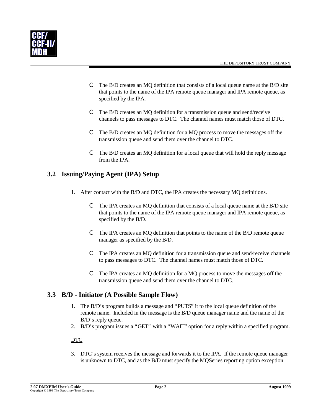

- C The B/D creates an MQ definition that consists of a local queue name at the B/D site that points to the name of the IPA remote queue manager and IPA remote queue, as specified by the IPA.
- C The B/D creates an MQ definition for a transmission queue and send/receive channels to pass messages to DTC. The channel names must match those of DTC.
- C The B/D creates an MQ definition for a MQ process to move the messages off the transmission queue and send them over the channel to DTC.
- C The B/D creates an MQ definition for a local queue that will hold the reply message from the IPA.

# **3.2 Issuing/Paying Agent (IPA) Setup**

- 1. After contact with the B/D and DTC, the IPA creates the necessary MQ definitions.
	- C The IPA creates an MQ definition that consists of a local queue name at the B/D site that points to the name of the IPA remote queue manager and IPA remote queue, as specified by the B/D.
	- C The IPA creates an MQ definition that points to the name of the B/D remote queue manager as specified by the B/D.
	- C The IPA creates an MQ definition for a transmission queue and send/receive channels to pass messages to DTC. The channel names must match those of DTC.
	- C The IPA creates an MQ definition for a MQ process to move the messages off the transmission queue and send them over the channel to DTC.

## **3.3 B/D - Initiator (A Possible Sample Flow)**

- 1. The B/D's program builds a message and "PUTS" it to the local queue definition of the remote name. Included in the message is the B/D queue manager name and the name of the B/D's reply queue.
- 2. B/D's program issues a "GET" with a "WAIT" option for a reply within a specified program.

#### DTC

3. DTC's system receives the message and forwards it to the IPA. If the remote queue manager is unknown to DTC, and as the B/D must specify the MQSeries reporting option exception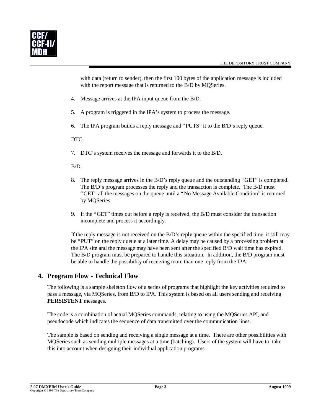

with data (return to sender), then the first 100 bytes of the application message is included with the report message that is returned to the B/D by MQSeries.

- 4. Message arrives at the IPA input queue from the B/D.
- 5. A program is triggered in the IPA's system to process the message.
- 6. The IPA program builds a reply message and "PUTS" it to the B/D's reply queue.

DTC

7. DTC's system receives the message and forwards it to the B/D.

#### B/D

- 8. The reply message arrives in the B/D's reply queue and the outstanding "GET" is completed. The B/D's program processes the reply and the transaction is complete. The B/D must "GET" all the messages on the queue until a "No Message Available Condition" is returned by MQSeries.
- 9. If the "GET" times out before a reply is received, the B/D must consider the transaction incomplete and process it accordingly.

If the reply message is not received on the B/D's reply queue within the specified time, it still may be "PUT" on the reply queue at a later time. A delay may be caused by a processing problem at the IPA site and the message may have been sent after the specified B/D wait time has expired. The B/D program must be prepared to handle this situation. In addition, the B/D program must be able to handle the possibility of receiving more than one reply from the IPA.

### **4. Program Flow - Technical Flow**

The following is a sample skeleton flow of a series of programs that highlight the key activities required to pass a message, via MQSeries, from B/D to IPA. This system is based on all users sending and receiving **PERSISTENT** messages.

The code is a combination of actual MQSeries commands, relating to using the MQSeries API, and pseudocode which indicates the sequence of data transmitted over the communication lines.

The sample is based on sending and receiving a single message at a time. There are other possibilities with MQSeries such as sending multiple messages at a time (batching). Users of the system will have to take this into account when designing their individual application programs.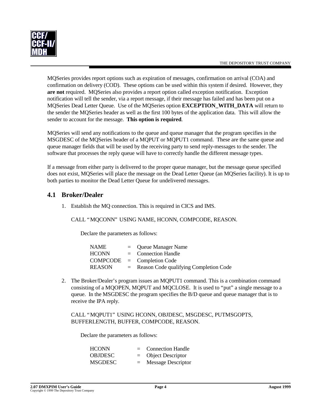

MQSeries provides report options such as expiration of messages, confirmation on arrival (COA) and confirmation on delivery (COD). These options can be used within this system if desired. However, they **are not** required. MQSeries also provides a report option called exception notification. Exception notification will tell the sender, via a report message, if their message has failed and has been put on a MQSeries Dead Letter Queue. Use of the MQSeries option **EXCEPTION\_WITH\_DATA** will return to the sender the MQSeries header as well as the first 100 bytes of the application data. This will allow the sender to account for the message. **This option is required**.

MQSeries will send any notifications to the queue and queue manager that the program specifies in the MSGDESC of the MQSeries header of a MQPUT or MQPUT1 command. These are the same queue and queue manager fields that will be used by the receiving party to send reply-messages to the sender. The software that processes the reply queue will have to correctly handle the different message types.

If a message from either party is delivered to the proper queue manager, but the message queue specified does not exist, MQSeries will place the message on the Dead Letter Queue (an MQSeries facility). It is up to both parties to monitor the Dead Letter Queue for undelivered messages.

# **4.1 Broker/Dealer**

1. Establish the MQ connection. This is required in CICS and IMS.

CALL "MQCONN" USING NAME, HCONN, COMPCODE, REASON.

Declare the parameters as follows:

| NAME   | $=$ Queue Manager Name                     |
|--------|--------------------------------------------|
| HCONN  | $=$ Connection Handle                      |
|        | $COMPCODE = Completion Code$               |
| REASON | $=$ Reason Code qualifying Completion Code |

2. The Broker/Dealer's program issues an MQPUT1 command. This is a combination command consisting of a MQOPEN, MQPUT and MQCLOSE. It is used to "put" a single message to a queue. In the MSGDESC the program specifies the B/D queue and queue manager that is to receive the IPA reply.

CALL "MQPUT1" USING HCONN, OBJDESC, MSGDESC, PUTMSGOPTS, BUFFERLENGTH, BUFFER, COMPCODE, REASON.

Declare the parameters as follows:

| <b>HCONN</b>   |     | $=$ Connection Handle     |
|----------------|-----|---------------------------|
| <b>OBJDESC</b> |     | $=$ Object Descriptor     |
| MSGDESC        | $=$ | <b>Message Descriptor</b> |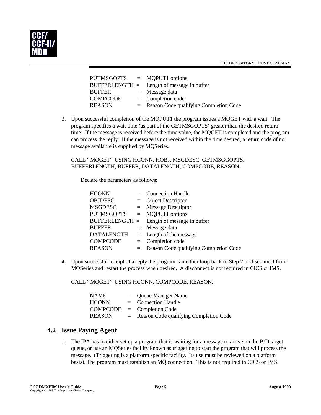

| PUTMSGOPTS = MQPUT1 options |                                              |
|-----------------------------|----------------------------------------------|
|                             | $BUFFERLENGTH =$ Length of message in buffer |
| <b>BUFFER</b>               | $=$ Message data                             |
| <b>COMPCODE</b>             | $=$ Completion code                          |
| <b>REASON</b>               | $=$ Reason Code qualifying Completion Code   |
|                             |                                              |

3. Upon successful completion of the MQPUT1 the program issues a MQGET with a wait. The program specifies a wait time (as part of the GETMSGOPTS) greater than the desired return time. If the message is received before the time value, the MQGET is completed and the program can process the reply. If the message is not received within the time desired, a return code of no message available is supplied by MQSeries.

#### CALL "MQGET" USING HCONN, HOBJ, MSGDESC, GETMSGGOPTS, BUFFERLENGTH, BUFFER, DATALENGTH, COMPCODE, REASON.

Declare the parameters as follows:

| <b>HCONN</b>      | $=$ Connection Handle                        |
|-------------------|----------------------------------------------|
| <b>OBJDESC</b>    | $=$ Object Descriptor                        |
| <b>MSGDESC</b>    | $=$ Message Descriptor                       |
| <b>PUTMSGOPTS</b> | $=$ MQPUT1 options                           |
|                   | $BUFFERLENGTH =$ Length of message in buffer |
| <b>BUFFER</b>     | $=$ Message data                             |
| <b>DATALENGTH</b> | $=$ Length of the message                    |
| <b>COMPCODE</b>   | $=$ Completion code                          |
| <b>REASON</b>     | $=$ Reason Code qualifying Completion Code   |

4. Upon successful receipt of a reply the program can either loop back to Step 2 or disconnect from MQSeries and restart the process when desired. A disconnect is not required in CICS or IMS.

CALL "MQGET" USING HCONN, COMPCODE, REASON.

| $=$ Queue Manager Name                     |
|--------------------------------------------|
| $=$ Connection Handle                      |
| $COMPCODE = Completion Code$               |
| $=$ Reason Code qualifying Completion Code |
|                                            |

## **4.2 Issue Paying Agent**

1. The IPA has to either set up a program that is waiting for a message to arrive on the B/D target queue, or use an MQSeries facility known as triggering to start the program that will process the message. (Triggering is a platform specific facility. Its use must be reviewed on a platform basis). The program must establish an MQ connection. This is not required in CICS or IMS.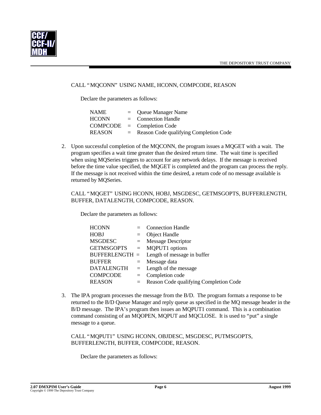

#### CALL "MQCONN" USING NAME, HCONN, COMPCODE, REASON

Declare the parameters as follows:

| <b>NAME</b>   | $=$ Queue Manager Name                     |
|---------------|--------------------------------------------|
| <b>HCONN</b>  | $=$ Connection Handle                      |
| COMPCODE      | $=$ Completion Code                        |
| <b>REASON</b> | $=$ Reason Code qualifying Completion Code |

2. Upon successful completion of the MQCONN, the program issues a MQGET with a wait. The program specifies a wait time greater than the desired return time. The wait time is specified when using MQSeries triggers to account for any network delays. If the message is received before the time value specified, the MQGET is completed and the program can process the reply. If the message is not received within the time desired, a return code of no message available is returned by MQSeries.

#### CALL "MQGET" USING HCONN, HOBJ, MSGDESC, GETMSGOPTS, BUFFERLENGTH, BUFFER, DATALENGTH, COMPCODE, REASON.

Declare the parameters as follows:

| <b>HCONN</b>                |     | $=$ Connection Handle                        |
|-----------------------------|-----|----------------------------------------------|
| <b>HOBJ</b>                 |     | $=$ Object Handle                            |
| <b>MSGDESC</b>              |     | $=$ Message Descriptor                       |
| GETMSGOPTS = MQPUT1 options |     |                                              |
|                             |     | $BUFFERLENGTH =$ Length of message in buffer |
| <b>BUFFER</b>               |     | $=$ Message data                             |
| DATALENGTH                  |     | $=$ Length of the message                    |
| <b>COMPCODE</b>             |     | $=$ Completion code                          |
| <b>REASON</b>               | $=$ | Reason Code qualifying Completion Code       |
|                             |     |                                              |

3. The IPA program processes the message from the B/D. The program formats a response to be returned to the B/D Queue Manager and reply queue as specified in the MQ message header in the B/D message. The IPA's program then issues an MQPUT1 command. This is a combination command consisting of an MQOPEN, MQPUT and MQCLOSE. It is used to "put" a single message to a queue.

CALL "MQPUT1" USING HCONN, OBJDESC, MSGDESC, PUTMSGOPTS, BUFFERLENGTH, BUFFER, COMPCODE, REASON.

Declare the parameters as follows: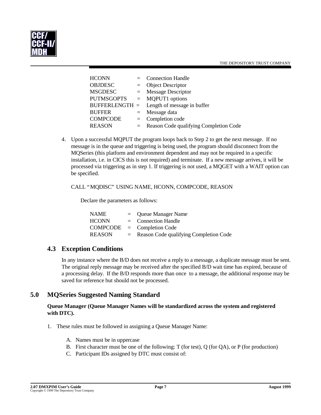

| <b>HCONN</b>      | $=$ Connection Handle                        |
|-------------------|----------------------------------------------|
| <b>OBJDESC</b>    | $=$ Object Descriptor                        |
| <b>MSGDESC</b>    | $=$ Message Descriptor                       |
| <b>PUTMSGOPTS</b> | $= \text{MQPUT1 options}$                    |
|                   | $BUFFERLENGTH =$ Length of message in buffer |
| <b>BUFFER</b>     | $=$ Message data                             |
| <b>COMPCODE</b>   | $=$ Completion code                          |
| <b>REASON</b>     | $=$ Reason Code qualifying Completion Code   |

4. Upon a successful MQPUT the program loops back to Step 2 to get the next message. If no message is in the queue and triggering is being used, the program should disconnect from the MQSeries (this platform and environment dependent and may not be required in a specific installation, i.e. in CICS this is not required) and terminate. If a new message arrives, it will be processed via triggering as in step 1. If triggering is not used, a MQGET with a WAIT option can be specified.

#### CALL "MQDISC" USING NAME, HCONN, COMPCODE, REASON

Declare the parameters as follows:

| <b>NAME</b>   | $=$ Queue Manager Name                     |
|---------------|--------------------------------------------|
| <b>HCONN</b>  | $=$ Connection Handle                      |
| COMPCODE      | $=$ Completion Code                        |
| <b>REASON</b> | $=$ Reason Code qualifying Completion Code |

### **4.3 Exception Conditions**

In any instance where the B/D does not receive a reply to a message, a duplicate message must be sent. The original reply message may be received after the specified B/D wait time has expired, because of a processing delay. If the B/D responds more than once to a message, the additional response may be saved for reference but should not be processed.

### **5.0 MQSeries Suggested Naming Standard**

#### **Queue Manager (Queue Manager Names will be standardized across the system and registered with DTC).**

- 1. These rules must be followed in assigning a Queue Manager Name:
	- A. Names must be in uppercase
	- B. First character must be one of the following: T (for test), Q (for QA), or P (for production)
	- C. Participant IDs assigned by DTC must consist of: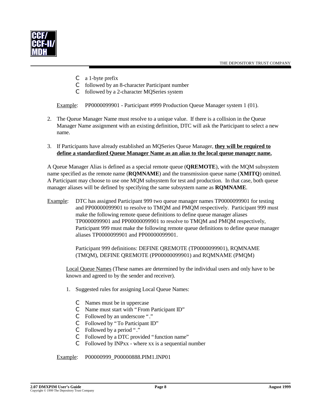

- C a 1-byte prefix
- C followed by an 8-character Participant number
- C followed by a 2-character MQSeries system

Example: PP0000099901 - Participant #999 Production Queue Manager system 1 (01).

- 2. The Queue Manager Name must resolve to a unique value. If there is a collision in the Queue Manager Name assignment with an existing definition, DTC will ask the Participant to select a new name.
- 3. If Participants have already established an MQSeries Queue Manager, **they will be required to define a standardized Queue Manager Name as an alias to the local queue manager name.**

A Queue Manager Alias is defined as a special remote queue (**QREMOTE**), with the MQM subsystem name specified as the remote name (**RQMNAME**) and the transmission queue name (**XMITQ**) omitted. A Participant may choose to use one MQM subsystem for test and production. In that case, both queue manager aliases will be defined by specifying the same subsystem name as **RQMNAME**.

Example: DTC has assigned Participant 999 two queue manager names TP0000099901 for testing and PP00000099901 to resolve to TMQM and PMQM respectively. Participant 999 must make the following remote queue definitions to define queue manager aliases TP0000099901 and PP00000099901 to resolve to TMQM and PMQM respectively, Participant 999 must make the following remote queue definitions to define queue manager aliases TP0000099901 and PP00000099901.

> Participant 999 definitions: DEFINE QREMOTE (TP0000099901), RQMNAME (TMQM), DEFINE QREMOTE (PP00000099901) and RQMNAME (PMQM)

Local Queue Names (These names are determined by the individual users and only have to be known and agreed to by the sender and receiver).

- 1. Suggested rules for assigning Local Queue Names:
	- C Names must be in uppercase
	- C Name must start with "From Participant ID"
	- C Followed by an underscore "."
	- C Followed by "To Participant ID"
	- C Followed by a period "."
	- C Followed by a DTC provided "function name"
	- C Followed by INPxx where xx is a sequential number

Example: P00000999\_P00000888.PIM1.INP01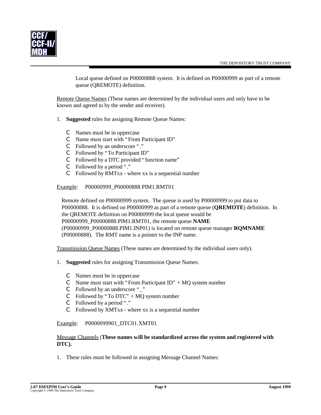

Local queue defined on P00000888 system. It is defined on P00000999 as part of a remote queue (QREMOTE) definition.

Remote Queue Names (These names are determined by the individual users and only have to be known and agreed to by the sender and receiver).

- 1. **Suggested** rules for assigning Remote Queue Names:
	- C Names must be in uppercase
	- C Name must start with "From Participant ID"
	- C Followed by an underscore "."
	- C Followed by "To Participant ID"
	- C Followed by a DTC provided "function name"
	- C Followed by a period "."
	- C Followed by RMTxx where xx is a sequential number

Example: P00000999\_P00000888.PIM1.RMT01

Remote defined on P00000999 system. The queue is used by P00000999 to put data to P00000888. It is defined on P00000999 as part of a remote queue (**QREMOTE**) definition. In the QREMOTE definition on P00000999 the local queue would be P00000999\_P00000888.PIM1.RMT01, the remote queue **NAME** (P00000999\_P00000888.PIM1.INP01) is located on remote queue manager **RQMNAME** (P00000888). The RMT name is a pointer to the INP name.

Transmission Queue Names (These names are determined by the individual users only).

- 1. **Suggested** rules for assigning Transmission Queue Names:
	- C Names must be in uppercase
	- C Name must start with "From Participant  $ID" + MQ$  system number
	- C Followed by an underscore " "
	- C Followed by "To DTC" + MQ system number
	- C Followed by a period "."
	- C Followed by XMTxx where xx is a sequential number

#### Example: P0000099901\_DTC01.XMT01

#### Message Channels (**These names will be standardized across the system and registered with DTC).**

1. These rules must be followed in assigning Message Channel Names: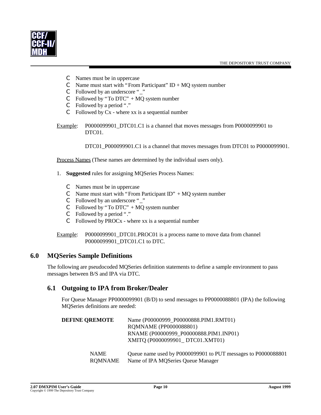

- C Names must be in uppercase
- C Name must start with "From Participant"  $ID + MQ$  system number
- C Followed by an underscore "\_"
- C Followed by "To DTC"  $+$  MQ system number
- C Followed by a period "."
- C Followed by  $Cx$  where  $xx$  is a sequential number
- Example: P0000099901 DTC01.C1 is a channel that moves messages from P0000099901 to DTC01.

DTC01\_P000099901.C1 is a channel that moves messages from DTC01 to P0000099901.

Process Names (These names are determined by the individual users only).

- 1. **Suggested** rules for assigning MQSeries Process Names:
	- C Names must be in uppercase
	- C Name must start with "From Participant  $ID$ " + MQ system number
	- C Followed by an underscore " "
	- C Followed by "To  $DTC$ " + MQ system number
	- C Followed by a period "."
	- C Followed by PROCx where xx is a sequential number

Example: P0000099901\_DTC01.PROC01 is a process name to move data from channel P0000099901\_DTC01.C1 to DTC.

#### **6.0 MQSeries Sample Definitions**

The following are pseudocoded MQSeries definition statements to define a sample environment to pass messages between B/S and IPA via DTC.

### **6.1 Outgoing to IPA from Broker/Dealer**

For Queue Manager PP0000099901 (B/D) to send messages to PP0000088801 (IPA) the following MQSeries definitions are needed:

| <b>DEFINE OREMOTE</b> | Name (P00000999 P00000888.PIM1.RMT01)<br>ROMNAME (PP0000088801)<br>RNAME (P00000999 P00000888.PIM1.INP01)<br>XMITQ (P0000099901 DTC01.XMT01) |  |  |
|-----------------------|----------------------------------------------------------------------------------------------------------------------------------------------|--|--|
| <b>NAME</b>           | Queue name used by P0000099901 to PUT messages to P0000088801                                                                                |  |  |
| ROMNAME               | Name of IPA MQSeries Queue Manager                                                                                                           |  |  |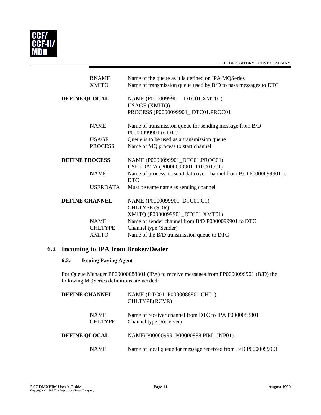

|                       | <b>RNAME</b>   | Name of the queue as it is defined on IPA MQSeries                       |
|-----------------------|----------------|--------------------------------------------------------------------------|
|                       | <b>XMITO</b>   | Name of transmission queue used by B/D to pass messages to DTC           |
| <b>DEFINE QLOCAL</b>  |                | NAME (P0000099901_DTC01.XMT01)                                           |
|                       |                | <b>USAGE (XMITQ)</b>                                                     |
|                       |                | PROCESS (P0000099901_DTC01.PROC01                                        |
|                       | <b>NAME</b>    | Name of transmission queue for sending message from B/D                  |
|                       |                | P0000099901 to DTC                                                       |
|                       | <b>USAGE</b>   | Queue is to be used as a transmission queue                              |
|                       | <b>PROCESS</b> | Name of MQ process to start channel                                      |
| <b>DEFINE PROCESS</b> |                | NAME (P0000099901 DTC01.PROC01)                                          |
|                       |                | USERDATA (P0000099901_DTC01.C1)                                          |
|                       | <b>NAME</b>    | Name of process to send data over channel from B/D P0000099901 to<br>DTC |
|                       | USERDATA       | Must be same name as sending channel                                     |
| <b>DEFINE CHANNEL</b> |                | NAME (P0000099901_DTC01.C1)                                              |
|                       |                | CHLTYPE (SDR)                                                            |
|                       |                | XMITQ (P0000099901_DTC01.XMT01)                                          |
|                       | <b>NAME</b>    | Name of sender channel from B/D P0000099901 to DTC                       |
|                       | <b>CHLTYPE</b> | Channel type (Sender)                                                    |
|                       | <b>XMITO</b>   | Name of the B/D transmission queue to DTC                                |
|                       |                |                                                                          |

# **6.2 Incoming to IPA from Broker/Dealer**

#### **6.2a Issuing Paying Agent**

For Queue Manager PP00000088801 (IPA) to receive messages from PP0000099901 (B/D) the following MQSeries definitions are needed:

| <b>DEFINE CHANNEL</b>         | NAME (DTC01 P0000088801.CH01)<br>CHLTYPE(RCVR)                                  |  |  |  |  |
|-------------------------------|---------------------------------------------------------------------------------|--|--|--|--|
| <b>NAME</b><br><b>CHLTYPE</b> | Name of receiver channel from DTC to IPA P0000088801<br>Channel type (Receiver) |  |  |  |  |
| <b>DEFINE QLOCAL</b>          | NAME(P00000999 P00000888.PIM1.INP01)                                            |  |  |  |  |
| <b>NAME</b>                   | Name of local queue for message received from B/D P0000099901                   |  |  |  |  |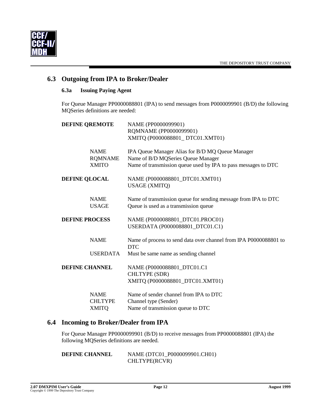

### **6.3 Outgoing from IPA to Broker/Dealer**

#### **6.3a Issuing Paying Agent**

For Queue Manager PP0000088801 (IPA) to send messages from P0000099901 (B/D) the following MQSeries definitions are needed:

|                       | <b>DEFINE QREMOTE</b>                         | NAME (PP0000099901)<br>RQMNAME (PP0000099901)<br>XMITQ (P0000088801_DTC01.XMT01)                                                                         |  |  |  |  |
|-----------------------|-----------------------------------------------|----------------------------------------------------------------------------------------------------------------------------------------------------------|--|--|--|--|
|                       | <b>NAME</b><br><b>ROMNAME</b><br><b>XMITO</b> | IPA Queue Manager Alias for B/D MQ Queue Manager<br>Name of B/D MQSeries Queue Manager<br>Name of transmission queue used by IPA to pass messages to DTC |  |  |  |  |
| DEFINE QLOCAL         |                                               | NAME (P0000088801_DTC01.XMT01)<br><b>USAGE (XMITQ)</b>                                                                                                   |  |  |  |  |
|                       | <b>NAME</b><br><b>USAGE</b>                   | Name of transmission queue for sending message from IPA to DTC<br>Queue is used as a transmission queue                                                  |  |  |  |  |
| <b>DEFINE PROCESS</b> |                                               | NAME (P0000088801_DTC01.PROC01)<br>USERDATA (P0000088801_DTC01.C1)                                                                                       |  |  |  |  |
|                       | <b>NAME</b>                                   | Name of process to send data over channel from IPA P0000088801 to<br><b>DTC</b>                                                                          |  |  |  |  |
|                       | <b>USERDATA</b>                               | Must be same name as sending channel                                                                                                                     |  |  |  |  |
| <b>DEFINE CHANNEL</b> |                                               | NAME (P0000088801 DTC01.C1<br>CHLTYPE (SDR)<br>XMITQ (P0000088801_DTC01.XMT01)                                                                           |  |  |  |  |
|                       | <b>NAME</b><br><b>CHLTYPE</b><br><b>XMITQ</b> | Name of sender channel from IPA to DTC<br>Channel type (Sender)<br>Name of transmission queue to DTC                                                     |  |  |  |  |

### **6.4 Incoming to Broker/Dealer from IPA**

For Queue Manager PP0000099901 (B/D) to receive messages from PP0000088801 (IPA) the following MQSeries definitions are needed.

**DEFINE CHANNEL** NAME (DTC01\_P0000099901.CH01) CHLTYPE(RCVR)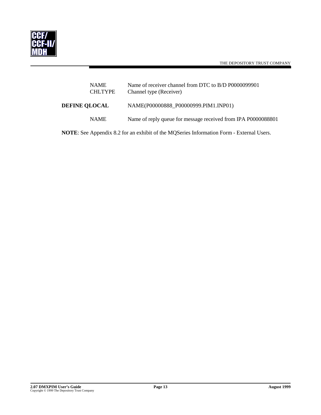

| <b>NAME</b><br><b>CHLTYPE</b> | Name of receiver channel from DTC to B/D P0000099901<br>Channel type (Receiver) |  |  |  |  |
|-------------------------------|---------------------------------------------------------------------------------|--|--|--|--|
| <b>DEFINE QLOCAL</b>          | NAME(P00000888 P00000999.PIM1.INP01)                                            |  |  |  |  |
| <b>NAME</b>                   | Name of reply queue for message received from IPA P0000088801                   |  |  |  |  |

**NOTE**: See Appendix 8.2 for an exhibit of the MQSeries Information Form - External Users.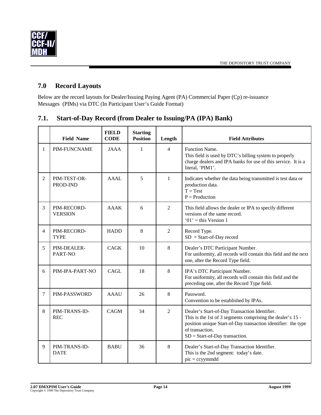

# **7.0 Record Layouts**

Below are the record layouts for Dealer/Issuing Paying Agent (PA) Commercial Paper (Cp) re-issuance Messages (PIMs) via DTC (In Participant User's Guide Format)

# **7.1. Start-of-Day Record (from Dealer to Issuing/PA (IPA) Bank)**

|                | <b>Field Name</b>             | <b>FIELD</b><br><b>CODE</b> | <b>Starting</b><br><b>Position</b> | Length       | <b>Field Attributes</b>                                                                                                                                                                                                              |
|----------------|-------------------------------|-----------------------------|------------------------------------|--------------|--------------------------------------------------------------------------------------------------------------------------------------------------------------------------------------------------------------------------------------|
| 1              | PIM-FUNCNAME                  | <b>JAAA</b>                 | $\mathbf{1}$                       | 4            | Function Name.<br>This field is used by DTC's billing system to properly<br>charge dealers and IPA banks for use of this service. It is a<br>literal, 'PIM1'.                                                                        |
| 2              | PIM-TEST-OR-<br>PROD-IND      | $A A A I$ .                 | 5                                  | $\mathbf{1}$ | Indicates whether the data being transmitted is test data or<br>production data.<br>$T = Test$<br>$P = \text{Production}$                                                                                                            |
| 3              | PIM-RECORD-<br><b>VERSION</b> | AAAK                        | 6                                  | 2            | This field allows the dealer or IPA to specify different<br>versions of the same record.<br>$'01'$ = this Version 1                                                                                                                  |
| $\overline{4}$ | PIM-RECORD-<br><b>TYPE</b>    | <b>HADD</b>                 | 8                                  | 2            | Record Type.<br>$SD = Start-of-Day record$                                                                                                                                                                                           |
| 5              | PIM-DEALER-<br>PART-NO        | <b>CAGK</b>                 | 10                                 | 8            | Dealer's DTC Participant Number.<br>For uniformity, all records will contain this field and the next<br>one, after the Record Type field.                                                                                            |
| 6              | PIM-IPA-PART-NO               | CAGL                        | 18                                 | 8            | IPA's DTC Participant Number.<br>For uniformity, all records will contain this field and the<br>preceding one, after the Record Type field.                                                                                          |
| $\tau$         | PIM-PASSWORD                  | <b>AAAU</b>                 | 26                                 | 8            | Password.<br>Convention to be established by IPAs.                                                                                                                                                                                   |
| 8              | PIM-TRANS-ID-<br><b>REC</b>   | <b>CAGM</b>                 | 34                                 | 2            | Dealer's Start-of-Day Transaction Identifier.<br>This is the 1st of 3 segments comprising the dealer's 15 -<br>position unique Start-of-Day transaction identifier: the type<br>of transaction.<br>$SD = Start-of-Day transaction$ . |
| 9              | PIM-TRANS-ID-<br><b>DATE</b>  | <b>BABU</b>                 | 36                                 | 8            | Dealer's Start-of-Day Transaction Identifier.<br>This is the 2nd segment: today's date.<br>$pic = ccyymmdd$                                                                                                                          |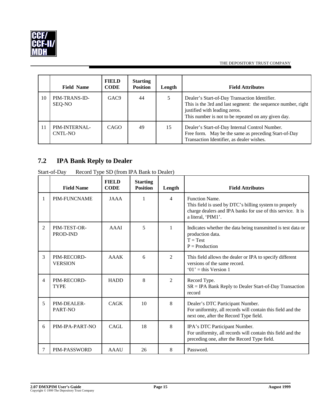

|    | <b>Field Name</b>        | <b>FIELD</b><br><b>CODE</b> | <b>Starting</b><br><b>Position</b> | Length | <b>Field Attributes</b>                                                                                                                                                                               |
|----|--------------------------|-----------------------------|------------------------------------|--------|-------------------------------------------------------------------------------------------------------------------------------------------------------------------------------------------------------|
| 10 | PIM-TRANS-ID-<br>SEO-NO  | GAC <sub>9</sub>            | 44                                 |        | Dealer's Start-of-Day Transaction Identifier.<br>This is the 3rd and last segment: the sequence number, right<br>justified with leading zeros.<br>This number is not to be repeated on any given day. |
| 11 | PIM-INTERNAL-<br>CNTL-NO | CAGO                        | 49                                 | 15     | Dealer's Start-of-Day Internal Control Number.<br>Free form. May be the same as preceding Start-of-Day<br>Transaction Identifier, as dealer wishes.                                                   |

# **7.2 IPA Bank Reply to Dealer**

| Start-of-Day |  | Record Type SD (from IPA Bank to Dealer) |
|--------------|--|------------------------------------------|
|--------------|--|------------------------------------------|

|                | <b>Field Name</b>             | <b>FIELD</b><br><b>CODE</b> | <b>Starting</b><br><b>Position</b> | Length         | <b>Field Attributes</b>                                                                                                                                       |
|----------------|-------------------------------|-----------------------------|------------------------------------|----------------|---------------------------------------------------------------------------------------------------------------------------------------------------------------|
|                | PIM-FUNCNAME                  | JAAA                        | 1                                  | $\overline{4}$ | Function Name.<br>This field is used by DTC's billing system to properly<br>charge dealers and IPA banks for use of this service. It is<br>a literal, 'PIM1'. |
| $\mathfrak{D}$ | PIM-TEST-OR-<br>PROD-IND      | AAAI                        | 5                                  | $\mathbf{1}$   | Indicates whether the data being transmitted is test data or<br>production data.<br>$T = Test$<br>$P =$ Production                                            |
| 3              | PIM-RECORD-<br><b>VERSION</b> | AAAK                        | 6                                  | 2              | This field allows the dealer or IPA to specify different<br>versions of the same record.<br>$'01'$ = this Version 1                                           |
| $\overline{4}$ | PIM-RECORD-<br><b>TYPE</b>    | <b>HADD</b>                 | 8                                  | 2              | Record Type.<br>$SR = IPA$ Bank Reply to Dealer Start-of-Day Transaction<br>record                                                                            |
| 5              | PIM-DEALER-<br>PART-NO        | <b>CAGK</b>                 | 10                                 | 8              | Dealer's DTC Participant Number.<br>For uniformity, all records will contain this field and the<br>next one, after the Record Type field.                     |
| 6              | PIM-IPA-PART-NO               | CAGL                        | 18                                 | 8              | IPA's DTC Participant Number.<br>For uniformity, all records will contain this field and the<br>preceding one, after the Record Type field.                   |
| 7              | <b>PIM-PASSWORD</b>           | AAAU                        | 26                                 | 8              | Password.                                                                                                                                                     |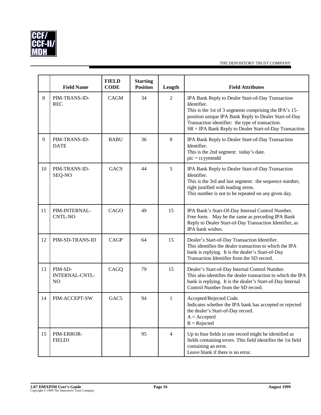

|    | <b>Field Name</b>                           | <b>FIELD</b><br><b>CODE</b> | <b>Starting</b><br><b>Position</b> | Length         | <b>Field Attributes</b>                                                                                                                                                                                                                                                                             |
|----|---------------------------------------------|-----------------------------|------------------------------------|----------------|-----------------------------------------------------------------------------------------------------------------------------------------------------------------------------------------------------------------------------------------------------------------------------------------------------|
| 8  | PIM-TRANS-ID-<br><b>REC</b>                 | <b>CAGM</b>                 | 34                                 | $\overline{2}$ | IPA Bank Reply to Dealer Start-of-Day Transaction<br>Identifier.<br>This is the 1st of 3 segments comprising the IPA's 15-<br>position unique IPA Bank Reply to Dealer Start-of-Day<br>Transaction identifier: the type of transaction.<br>$SR = IPA$ Bank Reply to Dealer Start-of-Day Transaction |
| 9  | PIM-TRANS-ID-<br><b>DATE</b>                | <b>BABU</b>                 | 36                                 | 8              | IPA Bank Reply to Dealer Start-of-Day Transaction<br>Identifier.<br>This is the 2nd segment: today's date.<br>$pic = ccyymmdd$                                                                                                                                                                      |
| 10 | PIM-TRANS-ID-<br>SEQ-NO                     | GAC <sub>9</sub>            | 44                                 | 5              | IPA Bank Reply to Dealer Start-of-Day Transaction<br>Identifier.<br>This is the 3rd and last segment: the sequence number,<br>right justified with leading zeros.<br>This number is not to be repeated on any given day.                                                                            |
| 11 | PIM-INTERNAL-<br><b>CNTL-NO</b>             | CAGO                        | 49                                 | 15             | IPA Bank's Start-Of-Day Internal Control Number.<br>Free form. May be the same as preceding IPA Bank<br>Reply to Dealer Start-of-Day Transaction Identifier, as<br>IPA bank wishes.                                                                                                                 |
| 12 | PIM-SD-TRANS-ID                             | CAGP                        | 64                                 | 15             | Dealer's Start-of-Day Transaction Identifier.<br>This identifies the dealer transaction to which the IPA<br>bank is replying. It is the dealer's Start-of-Day<br>Transaction Identifier from the SD record.                                                                                         |
| 13 | PIM-SD-<br>INTERNAL-CNTL-<br>N <sub>O</sub> | CAGQ                        | 79                                 | 15             | Dealer's Start-of-Day Internal Control Number.<br>This also identifies the dealer transaction to which the IPA<br>bank is replying. It is the dealer's Start-of-Day Internal<br>Control Number from the SD record.                                                                                  |
| 14 | PIM-ACCEPT-SW                               | GAC <sub>5</sub>            | 94                                 | 1              | Accepted/Rejected Code.<br>Indicates whether the IPA bank has accepted or rejected<br>the dealer's Start-of-Day record.<br>$A = Accepted$<br>$R = Rejected$                                                                                                                                         |
| 15 | PIM-ERROR-<br>FIELD1                        |                             | 95                                 | $\overline{4}$ | Up to four fields in one record might be identified as<br>fields containing errors. This field identifies the 1st field<br>containing an error.<br>Leave blank if there is no error.                                                                                                                |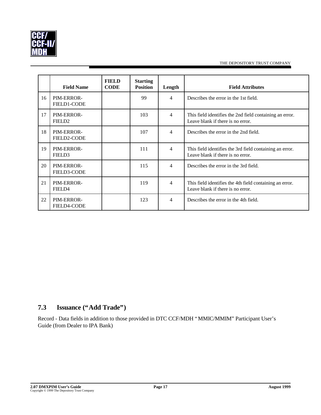

|    | <b>Field Name</b>                | <b>FIELD</b><br><b>CODE</b> | <b>Starting</b><br><b>Position</b> | Length         | <b>Field Attributes</b>                                                                       |
|----|----------------------------------|-----------------------------|------------------------------------|----------------|-----------------------------------------------------------------------------------------------|
| 16 | PIM-ERROR-<br><b>FIELD1-CODE</b> |                             | 99                                 | 4              | Describes the error in the 1st field.                                                         |
| 17 | PIM-ERROR-<br>FIELD <sub>2</sub> |                             | 103                                | $\overline{4}$ | This field identifies the 2nd field containing an error.<br>Leave blank if there is no error. |
| 18 | PIM-ERROR-<br><b>FIELD2-CODE</b> |                             | 107                                | 4              | Describes the error in the 2nd field.                                                         |
| 19 | PIM-ERROR-<br>FIELD3             |                             | 111                                | $\overline{4}$ | This field identifies the 3rd field containing an error.<br>Leave blank if there is no error. |
| 20 | PIM-ERROR-<br>FIELD3-CODE        |                             | 115                                | $\overline{4}$ | Describes the error in the 3rd field.                                                         |
| 21 | PIM-ERROR-<br>FIELD4             |                             | 119                                | $\overline{4}$ | This field identifies the 4th field containing an error.<br>Leave blank if there is no error. |
| 22 | PIM-ERROR-<br><b>FIELD4-CODE</b> |                             | 123                                | 4              | Describes the error in the 4th field.                                                         |

# **7.3 Issuance ("Add Trade")**

Record - Data fields in addition to those provided in DTC CCF/MDH "MMIC/MMIM" Participant User's Guide (from Dealer to IPA Bank)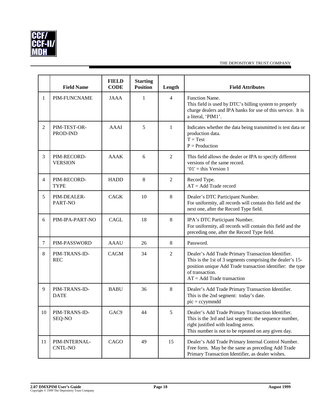

|                | <b>Field Name</b>             | <b>FIELD</b><br><b>CODE</b> | <b>Starting</b><br><b>Position</b> | Length         | <b>Field Attributes</b>                                                                                                                                                                                                          |
|----------------|-------------------------------|-----------------------------|------------------------------------|----------------|----------------------------------------------------------------------------------------------------------------------------------------------------------------------------------------------------------------------------------|
| $\mathbf{1}$   | <b>PIM-FUNCNAME</b>           | <b>JAAA</b>                 | $\mathbf{1}$                       | $\overline{4}$ | Function Name.<br>This field is used by DTC's billing system to properly<br>charge dealers and IPA banks for use of this service. It is<br>a literal, 'PIM1'.                                                                    |
| 2              | PIM-TEST-OR-<br>PROD-IND      | <b>AAAI</b>                 | 5                                  | 1              | Indicates whether the data being transmitted is test data or<br>production data.<br>$T = Test$<br>$P = \text{Production}$                                                                                                        |
| 3              | PIM-RECORD-<br><b>VERSION</b> | AAAK                        | 6                                  | $\overline{2}$ | This field allows the dealer or IPA to specify different<br>versions of the same record.<br>$'01'$ = this Version 1                                                                                                              |
| $\overline{4}$ | PIM-RECORD-<br><b>TYPE</b>    | <b>HADD</b>                 | 8                                  | 2              | Record Type.<br>$AT = Add Trade record$                                                                                                                                                                                          |
| 5              | PIM-DEALER-<br>PART-NO        | <b>CAGK</b>                 | 10                                 | 8              | Dealer's DTC Participant Number.<br>For uniformity, all records will contain this field and the<br>next one, after the Record Type field.                                                                                        |
| 6              | PIM-IPA-PART-NO               | CAGL                        | 18                                 | 8              | IPA's DTC Participant Number.<br>For uniformity, all records will contain this field and the<br>preceding one, after the Record Type field.                                                                                      |
| $\tau$         | PIM-PASSWORD                  | <b>AAAU</b>                 | 26                                 | 8              | Password.                                                                                                                                                                                                                        |
| 8              | PIM-TRANS-ID-<br><b>REC</b>   | <b>CAGM</b>                 | 34                                 | $\overline{2}$ | Dealer's Add Trade Primary Transaction Identifier.<br>This is the 1st of 3 segments comprising the dealer's 15-<br>position unique Add Trade transaction identifier: the type<br>of transaction.<br>$AT = Add Trade transaction$ |
| 9              | PIM-TRANS-ID-<br><b>DATE</b>  | <b>BABU</b>                 | 36                                 | 8              | Dealer's Add Trade Primary Transaction Identifier.<br>This is the 2nd segment: today's date.<br>$pic = ccyymmdd$                                                                                                                 |
| 10             | PIM-TRANS-ID-<br>SEQ-NO       | GAC <sub>9</sub>            | 44                                 | 5              | Dealer's Add Trade Primary Transaction Identifier.<br>This is the 3rd and last segment: the sequence number,<br>right justified with leading zeros.<br>This number is not to be repeated on any given day.                       |
| 11             | PIM-INTERNAL-<br>CNTL-NO      | CAGO                        | 49                                 | 15             | Dealer's Add Trade Primary Internal Control Number.<br>Free form. May be the same as preceding Add Trade<br>Primary Transaction Identifier, as dealer wishes.                                                                    |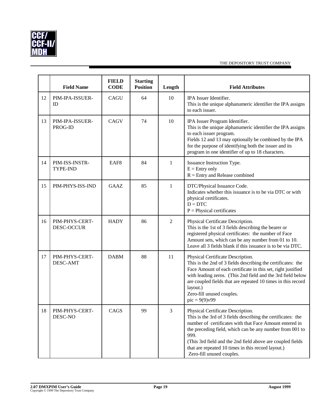

|    | <b>Field Name</b>                 | <b>FIELD</b><br><b>CODE</b> | <b>Starting</b><br><b>Position</b> | Length         | <b>Field Attributes</b>                                                                                                                                                                                                                                                                                                                                                           |
|----|-----------------------------------|-----------------------------|------------------------------------|----------------|-----------------------------------------------------------------------------------------------------------------------------------------------------------------------------------------------------------------------------------------------------------------------------------------------------------------------------------------------------------------------------------|
| 12 | PIM-IPA-ISSUER-<br>ID             | <b>CAGU</b>                 | 64                                 | 10             | IPA Issuer Identifier.<br>This is the unique alphanumeric identifier the IPA assigns<br>to each issuer.                                                                                                                                                                                                                                                                           |
| 13 | PIM-IPA-ISSUER-<br>PROG-ID        | CAGV                        | 74                                 | 10             | IPA Issuer Program Identifier.<br>This is the unique alphanumeric identifier the IPA assigns<br>to each issuer program.<br>Fields 12 and 13 may optionally be combined by the IPA<br>for the purpose of identifying both the issuer and its<br>program in one identifier of up to 18 characters.                                                                                  |
| 14 | PIM-ISS-INSTR-<br><b>TYPE-IND</b> | EAF <sub>8</sub>            | 84                                 | 1              | Issuance Instruction Type.<br>$E =$ Entry only<br>$R =$ Entry and Release combined                                                                                                                                                                                                                                                                                                |
| 15 | PIM-PHYS-ISS-IND                  | <b>GAAZ</b>                 | 85                                 | $\mathbf{1}$   | DTC/Physical Issuance Code.<br>Indicates whether this issuance is to be via DTC or with<br>physical certificates.<br>$D = DTC$<br>$P = Physical certificates$                                                                                                                                                                                                                     |
| 16 | PIM-PHYS-CERT-<br>DESC-OCCUR      | <b>HADY</b>                 | 86                                 | $\overline{2}$ | Physical Certificate Description.<br>This is the 1st of 3 fields describing the bearer or<br>registered physical certificates: the number of Face<br>Amount sets, which can be any number from 01 to 10.<br>Leave all 3 fields blank if this issuance is to be via DTC.                                                                                                           |
| 17 | PIM-PHYS-CERT-<br>DESC-AMT        | <b>DABM</b>                 | 88                                 | 11             | Physical Certificate Description.<br>This is the 2nd of 3 fields describing the certificates: the<br>Face Amount of each certificate in this set, right justified<br>with leading zeros. (This 2nd field and the 3rd field below<br>are coupled fields that are repeated 10 times in this record<br>layout.)<br>Zero-fill unused couples.<br>$pic = 9(9)v99$                      |
| 18 | PIM-PHYS-CERT-<br>DESC-NO         | CAGS                        | 99                                 | $\mathfrak{Z}$ | Physical Certificate Description.<br>This is the 3rd of 3 fields describing the certificates: the<br>number of certificates with that Face Amount entered in<br>the preceding field, which can be any number from 001 to<br>999.<br>(This 3rd field and the 2nd field above are coupled fields<br>that are repeated 10 times in this record layout.)<br>Zero-fill unused couples. |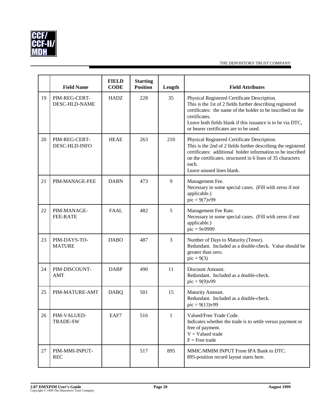

|    | <b>Field Name</b>              | <b>FIELD</b><br><b>CODE</b> | <b>Starting</b><br><b>Position</b> | Length         | <b>Field Attributes</b>                                                                                                                                                                                                                                                                           |
|----|--------------------------------|-----------------------------|------------------------------------|----------------|---------------------------------------------------------------------------------------------------------------------------------------------------------------------------------------------------------------------------------------------------------------------------------------------------|
| 19 | PIM-REG-CERT-<br>DESC-HLD-NAME | HADZ                        | 228                                | 35             | Physical Registered Certificate Description.<br>This is the 1st of 2 fields further describing registered<br>certificates: the name of the holder to be inscribed on the<br>certificates.<br>Leave both fields blank if this issuance is to be via DTC,<br>or bearer certificates are to be used. |
| 20 | PIM-REG-CERT-<br>DESC-HLD-INFO | <b>HEAE</b>                 | 263                                | 210            | Physical Registered Certificate Description.<br>This is the 2nd of 2 fields further describing the registered<br>certificates: additional holder information to be inscribed<br>on the certificates, structured in 6 lines of 35 characters<br>each.<br>Leave unused lines blank.                 |
| 21 | PIM-MANAGE-FEE                 | <b>DABN</b>                 | 473                                | 9              | Management Fee.<br>Necessary in some special cases. (Fill with zeros if not<br>applicable.)<br>$pic = 9(7)v99$                                                                                                                                                                                    |
| 22 | PIM-MANAGE-<br><b>FEE-RATE</b> | <b>FAAL</b>                 | 482                                | 5              | Management Fee Rate.<br>Necessary in some special cases. (Fill with zeros if not<br>applicable.)<br>$pic = 9v9999$                                                                                                                                                                                |
| 23 | PIM-DAYS-TO-<br><b>MATURE</b>  | <b>DABO</b>                 | 487                                | $\overline{3}$ | Number of Days to Maturity (Tenor).<br>Redundant. Included as a double-check. Value should be<br>greater than zero.<br>$pic = 9(3)$                                                                                                                                                               |
| 24 | PIM-DISCOUNT-<br><b>AMT</b>    | <b>DABP</b>                 | 490                                | 11             | Discount Amount.<br>Redundant. Included as a double-check.<br>$pic = 9(9)v99$                                                                                                                                                                                                                     |
| 25 | PIM-MATURE-AMT                 | <b>DABQ</b>                 | 501                                | 15             | Maturity Amount.<br>Redundant. Included as a double-check.<br>$pic = 9(13)v99$                                                                                                                                                                                                                    |
| 26 | PIM-VALUED-<br><b>TRADE-SW</b> | EAF7                        | 516                                | $\mathbf{1}$   | Valued/Free Trade Code.<br>Indicates whether the trade is to settle versus payment or<br>free of payment.<br>$V =$ Valued trade<br>$F = Free trade$                                                                                                                                               |
| 27 | PIM-MMI-INPUT-<br><b>REC</b>   |                             | 517                                | 895            | MMIC/MMIM INPUT From IPA Bank to DTC.<br>895-position record layout starts here.                                                                                                                                                                                                                  |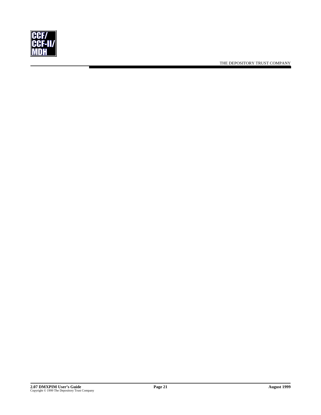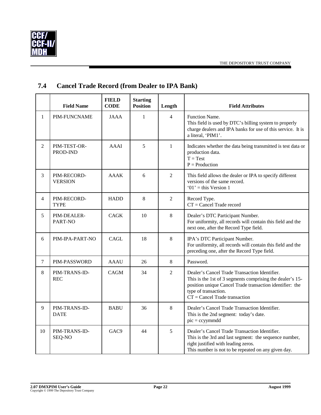

|                | <b>Field Name</b>             | <b>FIELD</b><br><b>CODE</b> | <b>Starting</b><br><b>Position</b> | Length         | <b>Field Attributes</b>                                                                                                                                                                                                            |
|----------------|-------------------------------|-----------------------------|------------------------------------|----------------|------------------------------------------------------------------------------------------------------------------------------------------------------------------------------------------------------------------------------------|
| $\mathbf{1}$   | PIM-FUNCNAME                  | <b>JAAA</b>                 | $\mathbf{1}$                       | $\overline{4}$ | Function Name.<br>This field is used by DTC's billing system to properly<br>charge dealers and IPA banks for use of this service. It is<br>a literal, 'PIM1'.                                                                      |
| $\mathfrak{D}$ | PIM-TEST-OR-<br>PROD-IND      | AAAI                        | 5                                  | $\mathbf{1}$   | Indicates whether the data being transmitted is test data or<br>production data.<br>$T = Test$<br>$P = \text{Production}$                                                                                                          |
| 3              | PIM-RECORD-<br><b>VERSION</b> | <b>AAAK</b>                 | 6                                  | $\overline{2}$ | This field allows the dealer or IPA to specify different<br>versions of the same record.<br>$'01'$ = this Version 1                                                                                                                |
| 4              | PIM-RECORD-<br><b>TYPE</b>    | <b>HADD</b>                 | 8                                  | $\mathfrak{2}$ | Record Type.<br>$CT = C$ ancel Trade record                                                                                                                                                                                        |
| 5              | PIM-DEALER-<br>PART-NO        | <b>CAGK</b>                 | 10                                 | 8              | Dealer's DTC Participant Number.<br>For uniformity, all records will contain this field and the<br>next one, after the Record Type field.                                                                                          |
| 6              | PIM-IPA-PART-NO               | CAGL                        | 18                                 | 8              | IPA's DTC Participant Number.<br>For uniformity, all records will contain this field and the<br>preceding one, after the Record Type field.                                                                                        |
| $\overline{7}$ | PIM-PASSWORD                  | <b>AAAU</b>                 | 26                                 | 8              | Password.                                                                                                                                                                                                                          |
| 8              | PIM-TRANS-ID-<br><b>REC</b>   | <b>CAGM</b>                 | 34                                 | $\mathfrak{2}$ | Dealer's Cancel Trade Transaction Identifier.<br>This is the 1st of 3 segments comprising the dealer's 15-<br>position unique Cancel Trade transaction identifier: the<br>type of transaction.<br>$CT = C$ ancel Trade transaction |
| 9              | PIM-TRANS-ID-<br><b>DATE</b>  | <b>BABU</b>                 | 36                                 | 8              | Dealer's Cancel Trade Transaction Identifier.<br>This is the 2nd segment: today's date.<br>$pic = ccyymmdd$                                                                                                                        |
| 10             | PIM-TRANS-ID-<br>SEQ-NO       | GAC <sub>9</sub>            | 44                                 | 5              | Dealer's Cancel Trade Transaction Identifier.<br>This is the 3rd and last segment: the sequence number,<br>right justified with leading zeros.<br>This number is not to be repeated on any given day.                              |

# **7.4 Cancel Trade Record (from Dealer to IPA Bank)**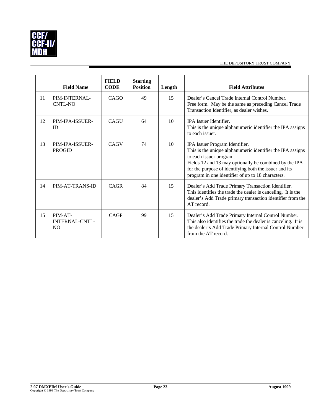

|    | <b>Field Name</b>                                  | <b>FIELD</b><br><b>CODE</b> | <b>Starting</b><br><b>Position</b> | Length | <b>Field Attributes</b>                                                                                                                                                                                                                                                                          |
|----|----------------------------------------------------|-----------------------------|------------------------------------|--------|--------------------------------------------------------------------------------------------------------------------------------------------------------------------------------------------------------------------------------------------------------------------------------------------------|
| 11 | PIM-INTERNAL-<br>CNTL-NO                           | CAGO                        | 49                                 | 15     | Dealer's Cancel Trade Internal Control Number.<br>Free form. May be the same as preceding Cancel Trade<br>Transaction Identifier, as dealer wishes.                                                                                                                                              |
| 12 | PIM-IPA-ISSUER-<br>ID                              | CAGU                        | 64                                 | 10     | <b>IPA</b> Issuer Identifier.<br>This is the unique alphanumeric identifier the IPA assigns<br>to each issuer.                                                                                                                                                                                   |
| 13 | PIM-IPA-ISSUER-<br><b>PROGID</b>                   | CAGV                        | 74                                 | 10     | IPA Issuer Program Identifier.<br>This is the unique alphanumeric identifier the IPA assigns<br>to each issuer program.<br>Fields 12 and 13 may optionally be combined by the IPA<br>for the purpose of identifying both the issuer and its<br>program in one identifier of up to 18 characters. |
| 14 | PIM-AT-TRANS-ID                                    | <b>CAGR</b>                 | 84                                 | 15     | Dealer's Add Trade Primary Transaction Identifier.<br>This identifies the trade the dealer is canceling. It is the<br>dealer's Add Trade primary transaction identifier from the<br>AT record.                                                                                                   |
| 15 | PIM-AT-<br><b>INTERNAL-CNTL-</b><br>N <sub>O</sub> | CAGP                        | 99                                 | 15     | Dealer's Add Trade Primary Internal Control Number.<br>This also identifies the trade the dealer is canceling. It is<br>the dealer's Add Trade Primary Internal Control Number<br>from the AT record.                                                                                            |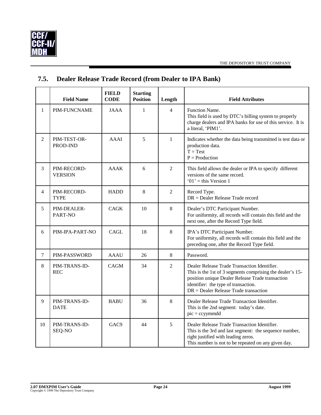

|                | <b>Field Name</b>             | <b>FIELD</b><br><b>CODE</b> | <b>Starting</b><br><b>Position</b> | Length         | <b>Field Attributes</b>                                                                                                                                                                                                                        |
|----------------|-------------------------------|-----------------------------|------------------------------------|----------------|------------------------------------------------------------------------------------------------------------------------------------------------------------------------------------------------------------------------------------------------|
| $\mathbf{1}$   | <b>PIM-FUNCNAME</b>           | <b>JAAA</b>                 | $\mathbf{1}$                       | $\overline{4}$ | <b>Function Name.</b><br>This field is used by DTC's billing system to properly<br>charge dealers and IPA banks for use of this service. It is<br>a literal, 'PIM1'.                                                                           |
| $\overline{2}$ | PIM-TEST-OR-<br>PROD-IND      | <b>AAAI</b>                 | 5                                  | $\mathbf{1}$   | Indicates whether the data being transmitted is test data or<br>production data.<br>$T = Test$<br>$P = \text{Production}$                                                                                                                      |
| 3              | PIM-RECORD-<br><b>VERSION</b> | <b>AAAK</b>                 | 6                                  | $\overline{2}$ | This field allows the dealer or IPA to specify different<br>versions of the same record.<br>' $01$ ' = this Version 1                                                                                                                          |
| 4              | PIM-RECORD-<br><b>TYPE</b>    | <b>HADD</b>                 | 8                                  | 2              | Record Type.<br>DR = Dealer Release Trade record                                                                                                                                                                                               |
| 5              | PIM-DEALER-<br>PART-NO        | <b>CAGK</b>                 | 10                                 | 8              | Dealer's DTC Participant Number.<br>For uniformity, all records will contain this field and the<br>next one, after the Record Type field.                                                                                                      |
| 6              | PIM-IPA-PART-NO               | CAGL                        | 18                                 | 8              | IPA's DTC Participant Number.<br>For uniformity, all records will contain this field and the<br>preceding one, after the Record Type field.                                                                                                    |
| $\overline{7}$ | PIM-PASSWORD                  | <b>AAAU</b>                 | 26                                 | 8              | Password.                                                                                                                                                                                                                                      |
| 8              | PIM-TRANS-ID-<br><b>REC</b>   | <b>CAGM</b>                 | 34                                 | $\overline{c}$ | Dealer Release Trade Transaction Identifier.<br>This is the 1st of 3 segments comprising the dealer's 15-<br>position unique Dealer Release Trade transaction<br>identifier: the type of transaction.<br>DR = Dealer Release Trade transaction |
| 9              | PIM-TRANS-ID-<br><b>DATE</b>  | <b>BABU</b>                 | 36                                 | 8              | Dealer Release Trade Transaction Identifier.<br>This is the 2nd segment: today's date.<br>$pic = ccyymmdd$                                                                                                                                     |
| 10             | PIM-TRANS-ID-<br>SEQ-NO       | GAC <sub>9</sub>            | 44                                 | 5              | Dealer Release Trade Transaction Identifier.<br>This is the 3rd and last segment: the sequence number,<br>right justified with leading zeros.<br>This number is not to be repeated on any given day.                                           |

# **7.5. Dealer Release Trade Record (from Dealer to IPA Bank)**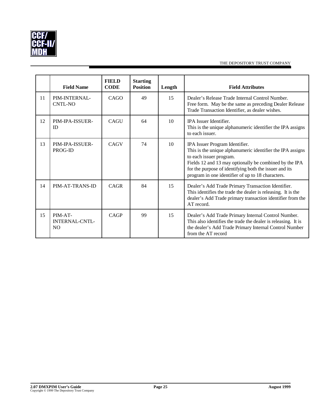

|    | <b>Field Name</b>                                  | <b>FIELD</b><br><b>CODE</b> | <b>Starting</b><br><b>Position</b> | Length | <b>Field Attributes</b>                                                                                                                                                                                                                                                                          |
|----|----------------------------------------------------|-----------------------------|------------------------------------|--------|--------------------------------------------------------------------------------------------------------------------------------------------------------------------------------------------------------------------------------------------------------------------------------------------------|
| 11 | PIM-INTERNAL-<br>CNTL-NO                           | CAGO                        | 49                                 | 15     | Dealer's Release Trade Internal Control Number.<br>Free form. May be the same as preceding Dealer Release<br>Trade Transaction Identifier, as dealer wishes.                                                                                                                                     |
| 12 | PIM-IPA-ISSUER-<br>ID                              | CAGU                        | 64                                 | 10     | <b>IPA</b> Issuer Identifier.<br>This is the unique alphanumeric identifier the IPA assigns<br>to each issuer.                                                                                                                                                                                   |
| 13 | PIM-IPA-ISSUER-<br>PROG-ID                         | CAGV                        | 74                                 | 10     | IPA Issuer Program Identifier.<br>This is the unique alphanumeric identifier the IPA assigns<br>to each issuer program.<br>Fields 12 and 13 may optionally be combined by the IPA<br>for the purpose of identifying both the issuer and its<br>program in one identifier of up to 18 characters. |
| 14 | PIM-AT-TRANS-ID                                    | <b>CAGR</b>                 | 84                                 | 15     | Dealer's Add Trade Primary Transaction Identifier.<br>This identifies the trade the dealer is releasing. It is the<br>dealer's Add Trade primary transaction identifier from the<br>AT record.                                                                                                   |
| 15 | PIM-AT-<br><b>INTERNAL-CNTL-</b><br>N <sub>O</sub> | CAGP                        | 99                                 | 15     | Dealer's Add Trade Primary Internal Control Number.<br>This also identifies the trade the dealer is releasing. It is<br>the dealer's Add Trade Primary Internal Control Number<br>from the AT record                                                                                             |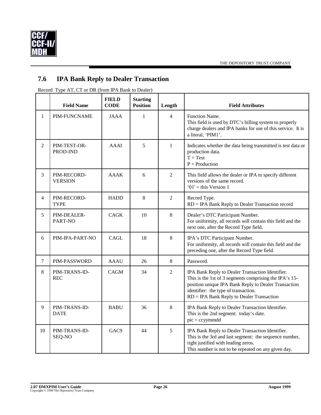

# **7.6 IPA Bank Reply to Dealer Transaction**

Record Type AT, CT or DR (from IPA Bank to Dealer)

|                | <b>Field Name</b>             | <b>FIELD</b><br><b>CODE</b> | <b>Starting</b><br><b>Position</b> | Length         | <b>Field Attributes</b>                                                                                                                                                                                                                                 |
|----------------|-------------------------------|-----------------------------|------------------------------------|----------------|---------------------------------------------------------------------------------------------------------------------------------------------------------------------------------------------------------------------------------------------------------|
| 1              | PIM-FUNCNAME                  | <b>JAAA</b>                 | $\mathbf{1}$                       | $\overline{4}$ | Function Name.<br>This field is used by DTC's billing system to properly<br>charge dealers and IPA banks for use of this service. It is<br>a literal, 'PIM1'.                                                                                           |
| $\overline{2}$ | PIM-TEST-OR-<br>PROD-IND      | <b>AAAI</b>                 | 5                                  | $\mathbf{1}$   | Indicates whether the data being transmitted is test data or<br>production data.<br>$T = Test$<br>$P = \text{Production}$                                                                                                                               |
| 3              | PIM-RECORD-<br><b>VERSION</b> | <b>AAAK</b>                 | 6                                  | $\overline{c}$ | This field allows the dealer or IPA to specify different<br>versions of the same record.<br>' $01'$ = this Version 1                                                                                                                                    |
| $\overline{4}$ | PIM-RECORD-<br><b>TYPE</b>    | <b>HADD</b>                 | 8                                  | $\overline{2}$ | Record Type.<br>$RD = IPA$ Bank Reply to Dealer Transaction record                                                                                                                                                                                      |
| 5              | PIM-DEALER-<br>PART-NO        | <b>CAGK</b>                 | 10                                 | 8              | Dealer's DTC Participant Number.<br>For uniformity, all records will contain this field and the<br>next one, after the Record Type field.                                                                                                               |
| 6              | PIM-IPA-PART-NO               | CAGL                        | 18                                 | 8              | IPA's DTC Participant Number.<br>For uniformity, all records will contain this field and the<br>preceding one, after the Record Type field.                                                                                                             |
| $\overline{7}$ | <b>PIM-PASSWORD</b>           | <b>AAAU</b>                 | 26                                 | 8              | Password.                                                                                                                                                                                                                                               |
| 8              | PIM-TRANS-ID-<br><b>REC</b>   | <b>CAGM</b>                 | 34                                 | $\overline{c}$ | IPA Bank Reply to Dealer Transaction Identifier.<br>This is the 1st of 3 segments comprising the IPA's 15-<br>position unique IPA Bank Reply to Dealer Transaction<br>identifier: the type of transaction.<br>RD = IPA Bank Reply to Dealer Transaction |
| 9              | PIM-TRANS-ID-<br><b>DATE</b>  | <b>BABU</b>                 | 36                                 | 8              | IPA Bank Reply to Dealer Transaction Identifier.<br>This is the 2nd segment: today's date.<br>$pic = ccyymmdd$                                                                                                                                          |
| 10             | PIM-TRANS-ID-<br>SEQ-NO       | GAC <sub>9</sub>            | 44                                 | 5              | IPA Bank Reply to Dealer Transaction Identifier.<br>This is the 3rd and last segment: the sequence number,<br>right justified with leading zeros.<br>This number is not to be repeated on any given day.                                                |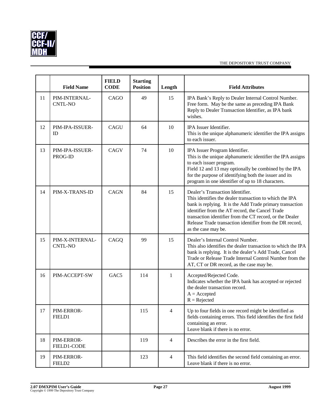

|    | <b>Field Name</b>                 | <b>FIELD</b><br><b>CODE</b> | <b>Starting</b><br><b>Position</b> | Length         | <b>Field Attributes</b>                                                                                                                                                                                                                                                                                                                                    |
|----|-----------------------------------|-----------------------------|------------------------------------|----------------|------------------------------------------------------------------------------------------------------------------------------------------------------------------------------------------------------------------------------------------------------------------------------------------------------------------------------------------------------------|
| 11 | PIM-INTERNAL-<br><b>CNTL-NO</b>   | CAGO                        | 49                                 | 15             | IPA Bank's Reply to Dealer Internal Control Number.<br>Free form. May be the same as preceding IPA Bank<br>Reply to Dealer Transaction Identifier, as IPA bank<br>wishes.                                                                                                                                                                                  |
| 12 | PIM-IPA-ISSUER-<br>ID             | <b>CAGU</b>                 | 64                                 | 10             | IPA Issuer Identifier.<br>This is the unique alphanumeric identifier the IPA assigns<br>to each issuer.                                                                                                                                                                                                                                                    |
| 13 | PIM-IPA-ISSUER-<br>PROG-ID        | CAGV                        | 74                                 | 10             | IPA Issuer Program Identifier.<br>This is the unique alphanumeric identifier the IPA assigns<br>to each issuer program.<br>Field 12 and 13 may optionally be combined by the IPA<br>for the purpose of identifying both the issuer and its<br>program in one identifier of up to 18 characters.                                                            |
| 14 | PIM-X-TRANS-ID                    | <b>CAGN</b>                 | 84                                 | 15             | Dealer's Transaction Identifier.<br>This identifies the dealer transaction to which the IPA<br>bank is replying. It is the Add Trade primary transaction<br>identifier from the AT record, the Cancel Trade<br>transaction identifier from the CT record, or the Dealer<br>Release Trade transaction identifier from the DR record,<br>as the case may be. |
| 15 | PIM-X-INTERNAL-<br><b>CNTL-NO</b> | CAGQ                        | 99                                 | 15             | Dealer's Internal Control Number.<br>This also identifies the dealer transaction to which the IPA<br>bank is replying. It is the dealer's Add Trade, Cancel<br>Trade or Release Trade Internal Control Number from the<br>AT, CT or DR record, as the case may be.                                                                                         |
| 16 | PIM-ACCEPT-SW                     | GAC <sub>5</sub>            | 114                                | $\mathbf{1}$   | Accepted/Rejected Code.<br>Indicates whether the IPA bank has accepted or rejected<br>the dealer transaction record.<br>$A = Accepted$<br>$R = Rejected$                                                                                                                                                                                                   |
| 17 | PIM-ERROR-<br>FIELD1              |                             | 115                                | $\overline{4}$ | Up to four fields in one record might be identified as<br>fields containing errors. This field identifies the first field<br>containing an error.<br>Leave blank if there is no error.                                                                                                                                                                     |
| 18 | PIM-ERROR-<br>FIELD1-CODE         |                             | 119                                | 4              | Describes the error in the first field.                                                                                                                                                                                                                                                                                                                    |
| 19 | PIM-ERROR-<br>FIELD <sub>2</sub>  |                             | 123                                | $\overline{4}$ | This field identifies the second field containing an error.<br>Leave blank if there is no error.                                                                                                                                                                                                                                                           |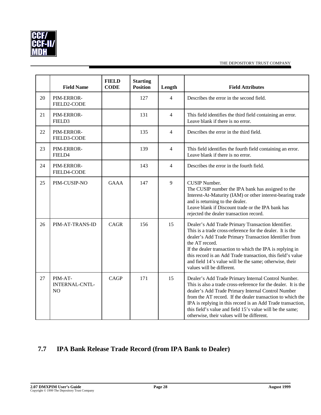

|    | <b>Field Name</b>                                  | <b>FIELD</b><br><b>CODE</b> | <b>Starting</b><br><b>Position</b> | Length         | <b>Field Attributes</b>                                                                                                                                                                                                                                                                                                                                                                                             |
|----|----------------------------------------------------|-----------------------------|------------------------------------|----------------|---------------------------------------------------------------------------------------------------------------------------------------------------------------------------------------------------------------------------------------------------------------------------------------------------------------------------------------------------------------------------------------------------------------------|
| 20 | PIM-ERROR-<br>FIELD2-CODE                          |                             | 127                                | $\overline{4}$ | Describes the error in the second field.                                                                                                                                                                                                                                                                                                                                                                            |
| 21 | PIM-ERROR-<br>FIELD3                               |                             | 131                                | $\overline{4}$ | This field identifies the third field containing an error.<br>Leave blank if there is no error.                                                                                                                                                                                                                                                                                                                     |
| 22 | PIM-ERROR-<br>FIELD3-CODE                          |                             | 135                                | 4              | Describes the error in the third field.                                                                                                                                                                                                                                                                                                                                                                             |
| 23 | PIM-ERROR-<br>FIELD4                               |                             | 139                                | $\overline{4}$ | This field identifies the fourth field containing an error.<br>Leave blank if there is no error.                                                                                                                                                                                                                                                                                                                    |
| 24 | PIM-ERROR-<br>FIELD4-CODE                          |                             | 143                                | $\overline{4}$ | Describes the error in the fourth field.                                                                                                                                                                                                                                                                                                                                                                            |
| 25 | PIM-CUSIP-NO                                       | <b>GAAA</b>                 | 147                                | 9              | <b>CUSIP Number.</b><br>The CUSIP number the IPA bank has assigned to the<br>Interest-At-Maturity (IAM) or other interest-bearing trade<br>and is returning to the dealer.<br>Leave blank if Discount trade or the IPA bank has<br>rejected the dealer transaction record.                                                                                                                                          |
| 26 | PIM-AT-TRANS-ID                                    | <b>CAGR</b>                 | 156                                | 15             | Dealer's Add Trade Primary Transaction Identifier.<br>This is a trade cross-reference for the dealer. It is the<br>dealer's Add Trade Primary Transaction Identifier from<br>the AT record.<br>If the dealer transaction to which the IPA is replying in<br>this record is an Add Trade transaction, this field's value<br>and field 14's value will be the same; otherwise, their<br>values will be different.     |
| 27 | PIM-AT-<br><b>INTERNAL-CNTL-</b><br>N <sub>O</sub> | <b>CAGP</b>                 | 171                                | 15             | Dealer's Add Trade Primary Internal Control Number.<br>This is also a trade cross-reference for the dealer. It is the<br>dealer's Add Trade Primary Internal Control Number<br>from the AT record. If the dealer transaction to which the<br>IPA is replying in this record is an Add Trade transaction,<br>this field's value and field 15's value will be the same;<br>otherwise, their values will be different. |

# **7.7 IPA Bank Release Trade Record (from IPA Bank to Dealer)**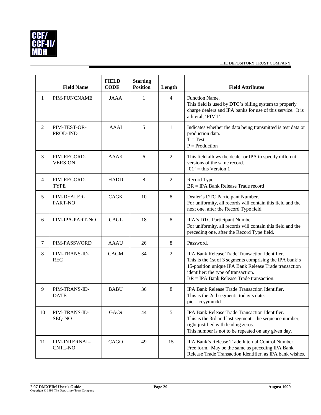

|                | <b>Field Name</b>             | <b>FIELD</b><br><b>CODE</b> | <b>Starting</b><br><b>Position</b> | Length         | <b>Field Attributes</b>                                                                                                                                                                                                                                  |
|----------------|-------------------------------|-----------------------------|------------------------------------|----------------|----------------------------------------------------------------------------------------------------------------------------------------------------------------------------------------------------------------------------------------------------------|
| $\mathbf{1}$   | <b>PIM-FUNCNAME</b>           | <b>JAAA</b>                 | $\mathbf{1}$                       | $\overline{4}$ | Function Name.<br>This field is used by DTC's billing system to properly<br>charge dealers and IPA banks for use of this service. It is<br>a literal, 'PIM1'.                                                                                            |
| $\overline{2}$ | PIM-TEST-OR-<br>PROD-IND      | <b>AAAI</b>                 | 5                                  | $\mathbf{1}$   | Indicates whether the data being transmitted is test data or<br>production data.<br>$T = Test$<br>$P = \text{Production}$                                                                                                                                |
| 3              | PIM-RECORD-<br><b>VERSION</b> | <b>AAAK</b>                 | 6                                  | $\overline{2}$ | This field allows the dealer or IPA to specify different<br>versions of the same record.<br>$'01'$ = this Version 1                                                                                                                                      |
| 4              | PIM-RECORD-<br><b>TYPE</b>    | <b>HADD</b>                 | 8                                  | $\overline{2}$ | Record Type.<br>BR = IPA Bank Release Trade record                                                                                                                                                                                                       |
| 5              | PIM-DEALER-<br>PART-NO        | <b>CAGK</b>                 | 10                                 | 8              | Dealer's DTC Participant Number.<br>For uniformity, all records will contain this field and the<br>next one, after the Record Type field.                                                                                                                |
| 6              | PIM-IPA-PART-NO               | CAGL                        | 18                                 | 8              | IPA's DTC Participant Number.<br>For uniformity, all records will contain this field and the<br>preceding one, after the Record Type field.                                                                                                              |
| 7              | PIM-PASSWORD                  | <b>AAAU</b>                 | 26                                 | 8              | Password.                                                                                                                                                                                                                                                |
| 8              | PIM-TRANS-ID-<br><b>REC</b>   | <b>CAGM</b>                 | 34                                 | $\mathfrak{2}$ | IPA Bank Release Trade Transaction Identifier.<br>This is the 1st of 3 segments comprising the IPA bank's<br>15-position unique IPA Bank Release Trade transaction<br>identifier: the type of transaction.<br>$BR = IPA$ Bank Release Trade transaction. |
| 9              | PIM-TRANS-ID-<br><b>DATE</b>  | <b>BABU</b>                 | 36                                 | 8              | IPA Bank Release Trade Transaction Identifier.<br>This is the 2nd segment: today's date.<br>$pic = ccyymmdd$                                                                                                                                             |
| 10             | PIM-TRANS-ID-<br>SEQ-NO       | GAC <sub>9</sub>            | 44                                 | 5              | IPA Bank Release Trade Transaction Identifier.<br>This is the 3rd and last segment: the sequence number,<br>right justified with leading zeros.<br>This number is not to be repeated on any given day.                                                   |
| 11             | PIM-INTERNAL-<br>CNTL-NO      | CAGO                        | 49                                 | 15             | IPA Bank's Release Trade Internal Control Number.<br>Free form. May be the same as preceding IPA Bank<br>Release Trade Transaction Identifier, as IPA bank wishes.                                                                                       |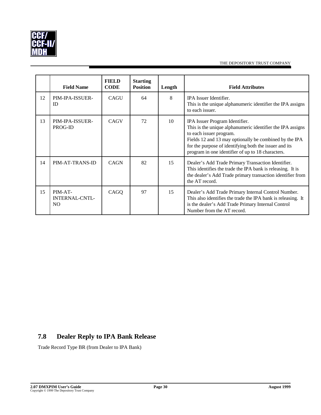

|    | <b>Field Name</b>                       | <b>FIELD</b><br><b>CODE</b> | <b>Starting</b><br><b>Position</b> | Length | <b>Field Attributes</b>                                                                                                                                                                                                                                                                          |
|----|-----------------------------------------|-----------------------------|------------------------------------|--------|--------------------------------------------------------------------------------------------------------------------------------------------------------------------------------------------------------------------------------------------------------------------------------------------------|
| 12 | PIM-IPA-ISSUER-<br>ID                   | <b>CAGU</b>                 | 64                                 | 8      | IPA Issuer Identifier.<br>This is the unique alphanumeric identifier the IPA assigns<br>to each issuer.                                                                                                                                                                                          |
| 13 | PIM-IPA-ISSUER-<br>PROG-ID              | CAGV                        | 72                                 | 10     | IPA Issuer Program Identifier.<br>This is the unique alphanumeric identifier the IPA assigns<br>to each issuer program.<br>Fields 12 and 13 may optionally be combined by the IPA<br>for the purpose of identifying both the issuer and its<br>program in one identifier of up to 18 characters. |
| 14 | PIM-AT-TRANS-ID                         | <b>CAGN</b>                 | 82                                 | 15     | Dealer's Add Trade Primary Transaction Identifier.<br>This identifies the trade the IPA bank is releasing. It is<br>the dealer's Add Trade primary transaction identifier from<br>the AT record.                                                                                                 |
| 15 | PIM-AT-<br><b>INTERNAL-CNTL-</b><br>NO. | CAGQ                        | 97                                 | 15     | Dealer's Add Trade Primary Internal Control Number.<br>This also identifies the trade the IPA bank is releasing. It<br>is the dealer's Add Trade Primary Internal Control<br>Number from the AT record.                                                                                          |

# **7.8 Dealer Reply to IPA Bank Release**

Trade Record Type BR (from Dealer to IPA Bank)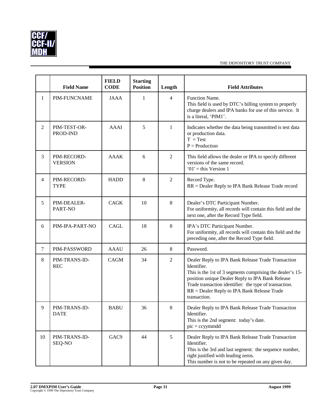

|                | <b>Field Name</b>             | <b>FIELD</b><br><b>CODE</b> | <b>Starting</b><br><b>Position</b> | Length         | <b>Field Attributes</b>                                                                                                                                                                                                                                                                                     |
|----------------|-------------------------------|-----------------------------|------------------------------------|----------------|-------------------------------------------------------------------------------------------------------------------------------------------------------------------------------------------------------------------------------------------------------------------------------------------------------------|
| $\mathbf{1}$   | PIM-FUNCNAME                  | <b>JAAA</b>                 | 1                                  | $\overline{4}$ | Function Name.<br>This field is used by DTC's billing system to properly<br>charge dealers and IPA banks for use of this service. It<br>is a literal, 'PIM1'.                                                                                                                                               |
| $\overline{2}$ | PIM-TEST-OR-<br>PROD-IND      | <b>AAAI</b>                 | 5                                  | $\mathbf{1}$   | Indicates whether the data being transmitted is test data<br>or production data.<br>$T = Test$<br>$P = \text{Production}$                                                                                                                                                                                   |
| 3              | PIM-RECORD-<br><b>VERSION</b> | <b>AAAK</b>                 | 6                                  | $\mathfrak{2}$ | This field allows the dealer or IPA to specify different<br>versions of the same record.<br>' $01'$ = this Version 1                                                                                                                                                                                        |
| $\overline{4}$ | PIM-RECORD-<br><b>TYPE</b>    | <b>HADD</b>                 | 8                                  | $\overline{2}$ | Record Type.<br>RR = Dealer Reply to IPA Bank Release Trade record                                                                                                                                                                                                                                          |
| 5              | PIM-DEALER-<br>PART-NO        | <b>CAGK</b>                 | 10                                 | 8              | Dealer's DTC Participant Number.<br>For uniformity, all records will contain this field and the<br>next one, after the Record Type field.                                                                                                                                                                   |
| 6              | PIM-IPA-PART-NO               | CAGL                        | 18                                 | $\,8\,$        | IPA's DTC Participant Number.<br>For uniformity, all records will contain this field and the<br>preceding one, after the Record Type field.                                                                                                                                                                 |
| $\tau$         | PIM-PASSWORD                  | <b>AAAU</b>                 | 26                                 | 8              | Password.                                                                                                                                                                                                                                                                                                   |
| 8              | PIM-TRANS-ID-<br><b>REC</b>   | CAGM                        | 34                                 | $\mathfrak{2}$ | Dealer Reply to IPA Bank Release Trade Transaction<br>Identifier.<br>This is the 1st of 3 segments comprising the dealer's 15-<br>position unique Dealer Reply to IPA Bank Release<br>Trade transaction identifier: the type of transaction.<br>RR = Dealer Reply to IPA Bank Release Trade<br>transaction. |
| 9              | PIM-TRANS-ID-<br><b>DATE</b>  | <b>BABU</b>                 | 36                                 | 8              | Dealer Reply to IPA Bank Release Trade Transaction<br>Identifier.<br>This is the 2nd segment: today's date.<br>$pic = ccyymmdd$                                                                                                                                                                             |
| 10             | PIM-TRANS-ID-<br>SEQ-NO       | GAC <sub>9</sub>            | 44                                 | 5              | Dealer Reply to IPA Bank Release Trade Transaction<br>Identifier.<br>This is the 3rd and last segment: the sequence number,<br>right justified with leading zeros.<br>This number is not to be repeated on any given day.                                                                                   |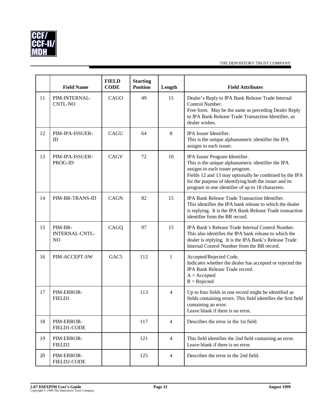

|    | <b>Field Name</b>                           | <b>FIELD</b><br><b>CODE</b> | <b>Starting</b><br><b>Position</b> | Length         | <b>Field Attributes</b>                                                                                                                                                                                                                                                                          |
|----|---------------------------------------------|-----------------------------|------------------------------------|----------------|--------------------------------------------------------------------------------------------------------------------------------------------------------------------------------------------------------------------------------------------------------------------------------------------------|
| 11 | PIM-INTERNAL-<br><b>CNTL-NO</b>             | CAGO                        | 49                                 | 15             | Dealer's Reply to IPA Bank Release Trade Internal<br>Control Number.<br>Free form. May be the same as preceding Dealer Reply<br>to IPA Bank Release Trade Transaction Identifier, as<br>dealer wishes.                                                                                           |
| 12 | PIM-IPA-ISSUER-<br>ID                       | <b>CAGU</b>                 | 64                                 | 8              | IPA Issuer Identifier.<br>This is the unique alphanumeric identifier the IPA<br>assigns to each issuer.                                                                                                                                                                                          |
| 13 | PIM-IPA-ISSUER-<br>PROG-ID                  | CAGV                        | 72                                 | 10             | IPA Issuer Program Identifier.<br>This is the unique alphanumeric identifier the IPA<br>assigns to each issuer program.<br>Fields 12 and 13 may optionally be combined by the IPA<br>for the purpose of identifying both the issuer and its<br>program in one identifier of up to 18 characters. |
| 14 | PIM-BR-TRANS-ID                             | <b>CAGN</b>                 | 82                                 | 15             | IPA Bank Release Trade Transaction Identifier.<br>This identifies the IPA bank release to which the dealer<br>is replying. It is the IPA Bank Release Trade transaction<br>identifier from the BR record.                                                                                        |
| 15 | PIM-BR-<br>INTERNAL-CNTL-<br>N <sub>O</sub> | CAGQ                        | 97                                 | 15             | IPA Bank's Release Trade Internal Control Number.<br>This also identifies the IPA bank release to which the<br>dealer is replying. It is the IPA Bank's Release Trade<br>Internal Control Number from the BR record.                                                                             |
| 16 | PIM-ACCEPT-SW                               | GAC <sub>5</sub>            | 112                                | $\mathbf{1}$   | Accepted/Rejected Code.<br>Indicates whether the dealer has accepted or rejected the<br>IPA Bank Release Trade record.<br>$A = Accepted$<br>$R = Rejected$                                                                                                                                       |
| 17 | PIM-ERROR-<br>FIELD1                        |                             | 113                                | $\overline{4}$ | Up to four fields in one record might be identified as<br>fields containing errors. This field identifies the first field<br>containing an error.<br>Leave blank if there is no error.                                                                                                           |
| 18 | PIM-ERROR-<br>FIELD1-CODE                   |                             | 117                                | $\overline{4}$ | Describes the error in the 1st field.                                                                                                                                                                                                                                                            |
| 19 | PIM-ERROR-<br>FIELD <sub>2</sub>            |                             | 121                                | $\overline{4}$ | This field identifies the 2nd field containing an error.<br>Leave blank if there is no error.                                                                                                                                                                                                    |
| 20 | PIM-ERROR-<br>FIELD2-CODE                   |                             | 125                                | $\overline{4}$ | Describes the error in the 2nd field.                                                                                                                                                                                                                                                            |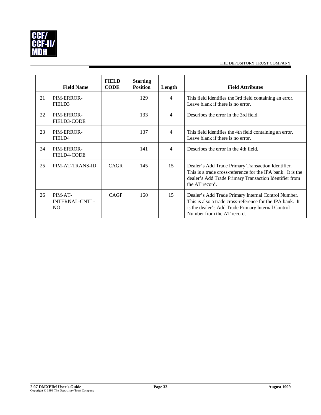

|    | <b>Field Name</b>                       | <b>FIELD</b><br><b>CODE</b> | <b>Starting</b><br><b>Position</b> | Length         | <b>Field Attributes</b>                                                                                                                                                                              |
|----|-----------------------------------------|-----------------------------|------------------------------------|----------------|------------------------------------------------------------------------------------------------------------------------------------------------------------------------------------------------------|
| 21 | PIM-ERROR-<br>FIELD3                    |                             | 129                                | $\overline{4}$ | This field identifies the 3rd field containing an error.<br>Leave blank if there is no error.                                                                                                        |
| 22 | PIM-ERROR-<br><b>FIELD3-CODE</b>        |                             | 133                                | $\overline{4}$ | Describes the error in the 3rd field.                                                                                                                                                                |
| 23 | PIM-ERROR-<br>FIELD4                    |                             | 137                                | 4              | This field identifies the 4th field containing an error.<br>Leave blank if there is no error.                                                                                                        |
| 24 | PIM-ERROR-<br><b>FIELD4-CODE</b>        |                             | 141                                | $\overline{4}$ | Describes the error in the 4th field.                                                                                                                                                                |
| 25 | PIM-AT-TRANS-ID                         | <b>CAGR</b>                 | 145                                | 15             | Dealer's Add Trade Primary Transaction Identifier.<br>This is a trade cross-reference for the IPA bank. It is the<br>dealer's Add Trade Primary Transaction Identifier from<br>the AT record.        |
| 26 | PIM-AT-<br><b>INTERNAL-CNTL-</b><br>NO. | CAGP                        | 160                                | 15             | Dealer's Add Trade Primary Internal Control Number.<br>This is also a trade cross-reference for the IPA bank. It<br>is the dealer's Add Trade Primary Internal Control<br>Number from the AT record. |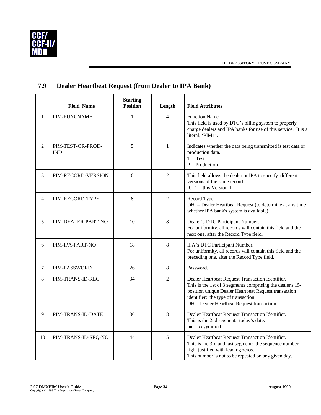

|                | <b>Field Name</b>               | <b>Starting</b><br><b>Position</b> | Length         | <b>Field Attributes</b>                                                                                                                                                                                                                                     |
|----------------|---------------------------------|------------------------------------|----------------|-------------------------------------------------------------------------------------------------------------------------------------------------------------------------------------------------------------------------------------------------------------|
| $\mathbf{1}$   | <b>PIM-FUNCNAME</b>             | 1                                  | 4              | Function Name.<br>This field is used by DTC's billing system to properly<br>charge dealers and IPA banks for use of this service. It is a<br>literal, 'PIM1'.                                                                                               |
| 2              | PIM-TEST-OR-PROD-<br><b>IND</b> | 5                                  | 1              | Indicates whether the data being transmitted is test data or<br>production data.<br>$T = Test$<br>$P = \text{Production}$                                                                                                                                   |
| 3              | PIM-RECORD-VERSION              | 6                                  | $\overline{2}$ | This field allows the dealer or IPA to specify different<br>versions of the same record.<br>$'01' =$ this Version 1                                                                                                                                         |
| $\overline{4}$ | PIM-RECORD-TYPE                 | 8                                  | $\overline{2}$ | Record Type.<br>$DH = Dealer$ Heartbeat Request (to determine at any time<br>whether IPA bank's system is available)                                                                                                                                        |
| 5              | PIM-DEALER-PART-NO              | 10                                 | 8              | Dealer's DTC Participant Number.<br>For uniformity, all records will contain this field and the<br>next one, after the Record Type field.                                                                                                                   |
| 6              | PIM-IPA-PART-NO                 | 18                                 | $\,8\,$        | IPA's DTC Participant Number.<br>For uniformity, all records will contain this field and the<br>preceding one, after the Record Type field.                                                                                                                 |
| 7              | PIM-PASSWORD                    | 26                                 | 8              | Password.                                                                                                                                                                                                                                                   |
| 8              | PIM-TRANS-ID-REC                | 34                                 | $\overline{2}$ | Dealer Heartbeat Request Transaction Identifier.<br>This is the 1st of 3 segments comprising the dealer's 15-<br>position unique Dealer Heartbeat Request transaction<br>identifier: the type of transaction.<br>DH = Dealer Heartbeat Request transaction. |
| 9              | PIM-TRANS-ID-DATE               | 36                                 | 8              | Dealer Heartbeat Request Transaction Identifier.<br>This is the 2nd segment: today's date.<br>$pic = ccyymmdd$                                                                                                                                              |
| 10             | PIM-TRANS-ID-SEQ-NO             | 44                                 | 5              | Dealer Heartbeat Request Transaction Identifier.<br>This is the 3rd and last segment: the sequence number,<br>right justified with leading zeros.<br>This number is not to be repeated on any given day.                                                    |

# **7.9 Dealer Heartbeat Request (from Dealer to IPA Bank)**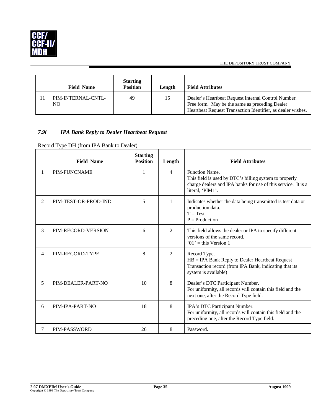

| <b>Field Name</b>         | <b>Starting</b><br><b>Position</b> | Length | <b>Field Attributes</b>                                                                                                                                              |
|---------------------------|------------------------------------|--------|----------------------------------------------------------------------------------------------------------------------------------------------------------------------|
| PIM-INTERNAL-CNTL-<br>NO. | 49                                 | 15     | Dealer's Heartbeat Request Internal Control Number.<br>Free form. May be the same as preceding Dealer<br>Heartbeat Request Transaction Identifier, as dealer wishes. |

### *7.9i IPA Bank Reply to Dealer Heartbeat Request*

|  | Record Type DH (from IPA Bank to Dealer) |  |
|--|------------------------------------------|--|
|  |                                          |  |

|   | <b>Field Name</b>    | <b>Starting</b><br><b>Position</b> | Length         | <b>Field Attributes</b>                                                                                                                                              |
|---|----------------------|------------------------------------|----------------|----------------------------------------------------------------------------------------------------------------------------------------------------------------------|
| 1 | PIM-FUNCNAME         | 1                                  | $\overline{4}$ | <b>Function Name.</b><br>This field is used by DTC's billing system to properly<br>charge dealers and IPA banks for use of this service. It is a<br>literal, 'PIM1'. |
| 2 | PIM-TEST-OR-PROD-IND | 5                                  | $\mathbf{1}$   | Indicates whether the data being transmitted is test data or<br>production data.<br>$T = Test$<br>$P = \text{Production}$                                            |
| 3 | PIM-RECORD-VERSION   | 6                                  | 2              | This field allows the dealer or IPA to specify different<br>versions of the same record.<br>$'01'$ = this Version 1                                                  |
| 4 | PIM-RECORD-TYPE      | 8                                  | 2              | Record Type.<br>$HB = IPA$ Bank Reply to Dealer Heartbeat Request<br>Transaction record (from IPA Bank, indicating that its<br>system is available)                  |
| 5 | PIM-DEALER-PART-NO   | 10                                 | 8              | Dealer's DTC Participant Number.<br>For uniformity, all records will contain this field and the<br>next one, after the Record Type field.                            |
| 6 | PIM-IPA-PART-NO      | 18                                 | 8              | IPA's DTC Participant Number.<br>For uniformity, all records will contain this field and the<br>preceding one, after the Record Type field.                          |
| 7 | PIM-PASSWORD         | 26                                 | 8              | Password.                                                                                                                                                            |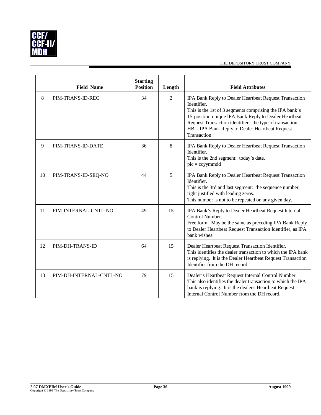

|    |                         | <b>Starting</b> |                |                                                                                                                                                                                                                                                                                                                           |
|----|-------------------------|-----------------|----------------|---------------------------------------------------------------------------------------------------------------------------------------------------------------------------------------------------------------------------------------------------------------------------------------------------------------------------|
|    | <b>Field Name</b>       | <b>Position</b> | Length         | <b>Field Attributes</b>                                                                                                                                                                                                                                                                                                   |
| 8  | PIM-TRANS-ID-REC        | 34              | $\overline{2}$ | IPA Bank Reply to Dealer Heartbeat Request Transaction<br>Identifier.<br>This is the 1st of 3 segments comprising the IPA bank's<br>15-position unique IPA Bank Reply to Dealer Heartbeat<br>Request Transaction identifier: the type of transaction.<br>$HB = IPA$ Bank Reply to Dealer Heartbeat Request<br>Transaction |
| 9  | PIM-TRANS-ID-DATE       | 36              | 8              | IPA Bank Reply to Dealer Heartbeat Request Transaction<br>Identifier.<br>This is the 2nd segment: today's date.<br>$pic = ccyymmdd$                                                                                                                                                                                       |
| 10 | PIM-TRANS-ID-SEQ-NO     | 44              | 5              | IPA Bank Reply to Dealer Heartbeat Request Transaction<br>Identifier.<br>This is the 3rd and last segment: the sequence number,<br>right justified with leading zeros.<br>This number is not to be repeated on any given day.                                                                                             |
| 11 | PIM-INTERNAL-CNTL-NO    | 49              | 15             | IPA Bank's Reply to Dealer Heartbeat Request Internal<br>Control Number.<br>Free form. May be the same as preceding IPA Bank Reply<br>to Dealer Heartbeat Request Transaction Identifier, as IPA<br>bank wishes.                                                                                                          |
| 12 | PIM-DH-TRANS-ID         | 64              | 15             | Dealer Heartbeat Request Transaction Identifier.<br>This identifies the dealer transaction to which the IPA bank<br>is replying. It is the Dealer Heartbeat Request Transaction<br>Identifier from the DH record.                                                                                                         |
| 13 | PIM-DH-INTERNAL-CNTL-NO | 79              | 15             | Dealer's Heartbeat Request Internal Control Number.<br>This also identifies the dealer transaction to which the IPA<br>bank is replying. It is the dealer's Heartbeat Request<br>Internal Control Number from the DH record.                                                                                              |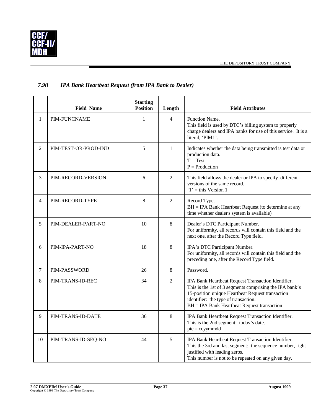

|              | <b>Field Name</b>    | <b>Starting</b><br><b>Position</b> | Length         | <b>Field Attributes</b>                                                                                                                                                                                                                                  |
|--------------|----------------------|------------------------------------|----------------|----------------------------------------------------------------------------------------------------------------------------------------------------------------------------------------------------------------------------------------------------------|
| $\mathbf{1}$ | PIM-FUNCNAME         | $\mathbf{1}$                       | $\overline{4}$ | Function Name.<br>This field is used by DTC's billing system to properly<br>charge dealers and IPA banks for use of this service. It is a<br>literal, 'PIM1'.                                                                                            |
| 2            | PIM-TEST-OR-PROD-IND | 5                                  | $\mathbf{1}$   | Indicates whether the data being transmitted is test data or<br>production data.<br>$T = Test$<br>$P = \text{Production}$                                                                                                                                |
| 3            | PIM-RECORD-VERSION   | 6                                  | 2              | This field allows the dealer or IPA to specify different<br>versions of the same record.<br>$1'$ = this Version 1                                                                                                                                        |
| 4            | PIM-RECORD-TYPE      | 8                                  | $\overline{c}$ | Record Type.<br>$BH = IPA$ Bank Heartbeat Request (to determine at any<br>time whether dealer's system is available)                                                                                                                                     |
| 5            | PIM-DEALER-PART-NO   | 10                                 | 8              | Dealer's DTC Participant Number.<br>For uniformity, all records will contain this field and the<br>next one, after the Record Type field.                                                                                                                |
| 6            | PIM-IPA-PART-NO      | 18                                 | 8              | IPA's DTC Participant Number.<br>For uniformity, all records will contain this field and the<br>preceding one, after the Record Type field.                                                                                                              |
| 7            | PIM-PASSWORD         | 26                                 | 8              | Password.                                                                                                                                                                                                                                                |
| 8            | PIM-TRANS-ID-REC     | 34                                 | $\overline{c}$ | IPA Bank Heartbeat Request Transaction Identifier.<br>This is the 1st of 3 segments comprising the IPA bank's<br>15-position unique Heartbeat Request transaction<br>identifier: the type of transaction.<br>BH = IPA Bank Heartbeat Request transaction |
| 9            | PIM-TRANS-ID-DATE    | 36                                 | 8              | IPA Bank Heartbeat Request Transaction Identifier.<br>This is the 2nd segment: today's date.<br>$pic = ccyymmdd$                                                                                                                                         |
| 10           | PIM-TRANS-ID-SEQ-NO  | 44                                 | 5              | IPA Bank Heartbeat Request Transaction Identifier.<br>This the 3rd and last segment: the sequence number, right<br>justified with leading zeros.<br>This number is not to be repeated on any given day.                                                  |

# *7.9ii IPA Bank Heartbeat Request (from IPA Bank to Dealer)*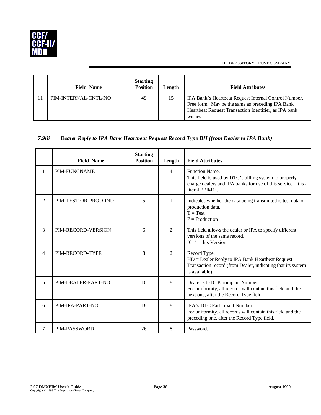

| <b>Field Name</b>    | <b>Starting</b><br><b>Position</b> | Length | <b>Field Attributes</b>                                                                                                                                                       |
|----------------------|------------------------------------|--------|-------------------------------------------------------------------------------------------------------------------------------------------------------------------------------|
| PIM-INTERNAL-CNTL-NO | 49                                 | 15     | IPA Bank's Heartbeat Request Internal Control Number.<br>Free form. May be the same as preceding IPA Bank<br>Heartbeat Request Transaction Identifier, as IPA bank<br>wishes. |

### *7.9iii Dealer Reply to IPA Bank Heartbeat Request Record Type BH (from Dealer to IPA Bank)*

|                | <b>Field Name</b>    | <b>Starting</b><br><b>Position</b> | Length         | <b>Field Attributes</b>                                                                                                                                       |
|----------------|----------------------|------------------------------------|----------------|---------------------------------------------------------------------------------------------------------------------------------------------------------------|
| 1              | <b>PIM-FUNCNAME</b>  |                                    | $\overline{4}$ | Function Name.<br>This field is used by DTC's billing system to properly<br>charge dealers and IPA banks for use of this service. It is a<br>literal, 'PIM1'. |
| $\mathfrak{2}$ | PIM-TEST-OR-PROD-IND | 5                                  | $\mathbf{1}$   | Indicates whether the data being transmitted is test data or<br>production data.<br>$T = Test$<br>$P = \text{Production}$                                     |
| 3              | PIM-RECORD-VERSION   | 6                                  | $\overline{2}$ | This field allows the dealer or IPA to specify different<br>versions of the same record.<br>$'01'$ = this Version 1                                           |
| $\overline{4}$ | PIM-RECORD-TYPE      | 8                                  | $\overline{2}$ | Record Type.<br>$HD = Dealer Reply$ to IPA Bank Heartbeat Request<br>Transaction record (from Dealer, indicating that its system<br>is available)             |
| 5              | PIM-DEALER-PART-NO   | 10                                 | 8              | Dealer's DTC Participant Number.<br>For uniformity, all records will contain this field and the<br>next one, after the Record Type field.                     |
| 6              | PIM-IPA-PART-NO      | 18                                 | 8              | IPA's DTC Participant Number.<br>For uniformity, all records will contain this field and the<br>preceding one, after the Record Type field.                   |
| 7              | <b>PIM-PASSWORD</b>  | 26                                 | 8              | Password.                                                                                                                                                     |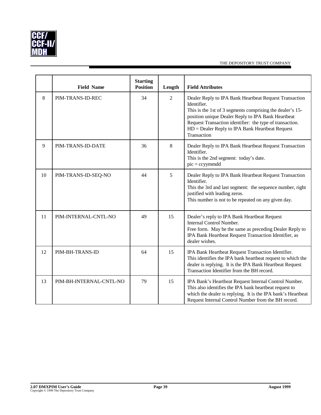

|    | <b>Field Name</b>       | <b>Starting</b><br><b>Position</b> | Length | <b>Field Attributes</b>                                                                                                                                                                                                                                                                                                  |
|----|-------------------------|------------------------------------|--------|--------------------------------------------------------------------------------------------------------------------------------------------------------------------------------------------------------------------------------------------------------------------------------------------------------------------------|
| 8  | PIM-TRANS-ID-REC        | 34                                 | 2      | Dealer Reply to IPA Bank Heartbeat Request Transaction<br>Identifier.<br>This is the 1st of 3 segments comprising the dealer's 15-<br>position unique Dealer Reply to IPA Bank Heartbeat<br>Request Transaction identifier: the type of transaction.<br>$HD = Dealer Reply to IPA Bank Heartbeat Request$<br>Transaction |
| 9  | PIM-TRANS-ID-DATE       | 36                                 | 8      | Dealer Reply to IPA Bank Heartbeat Request Transaction<br>Identifier.<br>This is the 2nd segment: today's date.<br>$pic = ccyymmdd$                                                                                                                                                                                      |
| 10 | PIM-TRANS-ID-SEQ-NO     | 44                                 | 5      | Dealer Reply to IPA Bank Heartbeat Request Transaction<br>Identifier.<br>This the 3rd and last segment: the sequence number, right<br>justified with leading zeros.<br>This number is not to be repeated on any given day.                                                                                               |
| 11 | PIM-INTERNAL-CNTL-NO    | 49                                 | 15     | Dealer's reply to IPA Bank Heartbeat Request<br>Internal Control Number.<br>Free form. May be the same as preceding Dealer Reply to<br>IPA Bank Heartbeat Request Transaction Identifier, as<br>dealer wishes.                                                                                                           |
| 12 | PIM-BH-TRANS-ID         | 64                                 | 15     | IPA Bank Heartbeat Request Transaction Identifier.<br>This identifies the IPA bank heartbeat request to which the<br>dealer is replying. It is the IPA Bank Heartbeat Request<br>Transaction Identifier from the BH record.                                                                                              |
| 13 | PIM-BH-INTERNAL-CNTL-NO | 79                                 | 15     | IPA Bank's Heartbeat Request Internal Control Number.<br>This also identifies the IPA bank heartbeat request to<br>which the dealer is replying. It is the IPA bank's Heartbeat<br>Request Internal Control Number from the BH record.                                                                                   |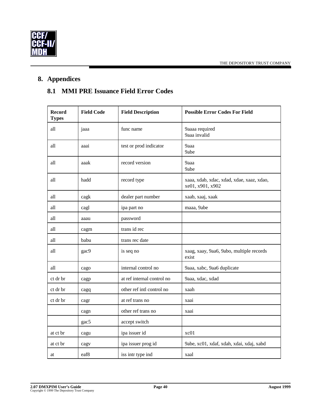

# **8. Appendices**

# **8.1 MMI PRE Issuance Field Error Codes**

| <b>Record</b><br><b>Types</b> | <b>Field Code</b> | <b>Field Description</b>   | <b>Possible Error Codes For Field</b>                         |
|-------------------------------|-------------------|----------------------------|---------------------------------------------------------------|
| all                           | jaaa              | func name                  | 9aaaa required<br>9aaa invalid                                |
| all                           | aaai              | test or prod indicator     | 9aaa<br>9abe                                                  |
| all                           | aaak              | record version             | 9aaa<br>9abe                                                  |
| all                           | hadd              | record type                | xaaa, xdab, xdac, xdad, xdae, xaaz, xdao,<br>xe01, x901, x902 |
| all                           | cagk              | dealer part number         | xaab, xaaj, xaak                                              |
| all                           | cagl              | ipa part no                | maaa, 9abe                                                    |
| all                           | aaau              | password                   |                                                               |
| all                           | cagm              | trans id rec               |                                                               |
| all                           | babu              | trans rec date             |                                                               |
| all                           | gac9              | is seq no                  | xaag, xaay, 9aa6, 9abo, multiple records<br>exist             |
| all                           | cago              | internal control no        | 9aaa, xabc, 9aa6 duplicate                                    |
| ct dr br                      | cagp              | at ref internal control no | 9aaa, xdac, xdad                                              |
| ct dr br                      | cagq              | other ref intl control no  | xaah                                                          |
| ct dr br                      | cagr              | at ref trans no            | xaai                                                          |
|                               | cagn              | other ref trans no         | xaai                                                          |
|                               | gac5              | accept switch              |                                                               |
| at ct br                      | cagu              | ipa issuer id              | xc01                                                          |
| at ct br                      | cagv              | ipa issuer prog id         | 9abe, xc01, xdaf, xdah, xdai, xdaj, xabd                      |
| at                            | eaf8              | iss intr type ind          | xaal                                                          |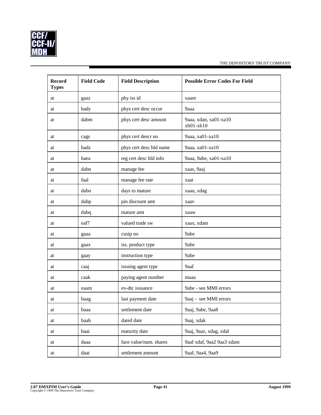

| <b>Record</b><br><b>Types</b> | <b>Field Code</b> | <b>Field Description</b> | <b>Possible Error Codes For Field</b> |
|-------------------------------|-------------------|--------------------------|---------------------------------------|
| at                            | gaaz              | phy iss id               | xaam                                  |
| at                            | hady              | phys cert desc occur     | 9aaa                                  |
| at                            | dabm              | phys cert desc amount    | 9aaa, xdan, xa01-xa10<br>xb01-xb10    |
| at                            | cags              | phys cert descr no       | 9aaa, xa01-xa10                       |
| at                            | hadz              | phys cert desc hld name  | 9aaa, xa01-xa10                       |
| at                            | haea              | reg cert desc hld info   | 9aaa, 9abe, xa01-xa10                 |
| at                            | dabn              | manage fee               | xaas, 9aaj                            |
| at                            | faal              | manage fee rate          | xaat                                  |
| at                            | dabo              | days to mature           | xaau, xdag                            |
| at                            | dabp              | pin discount amt         | xaav                                  |
| at                            | dabq              | mature amt               | xaaw                                  |
| at                            | eaf7              | valued trade sw          | xaax, xdam                            |
| at                            | gaaa              | cusip no                 | 9abe                                  |
| at                            | gaax              | iss. product type        | 9abe                                  |
| at                            | gaay              | instruction type         | 9abe                                  |
| at                            | caaj              | issuing agent type       | 9aaf                                  |
| at                            | caak              | paying agent number      | maaa                                  |
| at                            | eaam              | ex-dtc issuance          | 9abe - see MMI errors                 |
| at                            | baag              | last payment date        | 9aaj - see MMI errors                 |
| at                            | baaa              | settlement date          | 9aaj, 9abe, 9aa8                      |
| at                            | baah              | dated date               | 9aaj, xdak                            |
| at                            | baai              | maturity date            | 9aaj, 9aaz, xdag, xdal                |
| at                            | daaa              | face value/num. shares   | 9aaf xdaf, 9aa2 9aa3 xdam             |
| at                            | daat              | settlement amount        | 9aaf, 9aa4, 9aa9                      |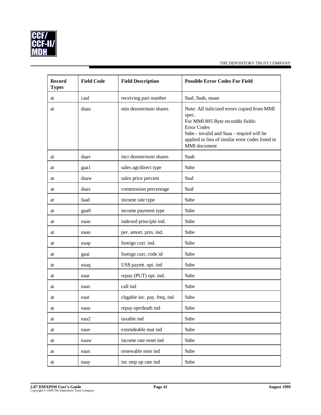

| <b>Record</b><br><b>Types</b> | <b>Field Code</b> | <b>Field Description</b>    | <b>Possible Error Codes For Field</b>                                                                                                                                                                                            |  |
|-------------------------------|-------------------|-----------------------------|----------------------------------------------------------------------------------------------------------------------------------------------------------------------------------------------------------------------------------|--|
| at                            | caal              | receiving part number       | 9aaf, 9aah, maao                                                                                                                                                                                                                 |  |
| at                            | daau              | min denom/num shares        | Note: All italicized errors copied from MMI<br>spec.<br>For MMI 895 Byte recordds fields:<br><b>Error Codes</b><br>9abe - invalid and 9aaa - requird will be<br>applied in lieu of similar error codes listed in<br>MMI document |  |
| at                            | daav              | incr denom/num shares       | 9aah                                                                                                                                                                                                                             |  |
| at                            | gaa1              | sales agt/direct type       | 9abe                                                                                                                                                                                                                             |  |
| at                            | daaw              | sales price percent         | 9aaf                                                                                                                                                                                                                             |  |
| at                            | daax              | commission percentage       | 9aaf                                                                                                                                                                                                                             |  |
| at                            | faad              | income rate type            | 9abe                                                                                                                                                                                                                             |  |
| at                            | gaa0              | income payment type         | 9abe                                                                                                                                                                                                                             |  |
| at                            | eaan              | indexed principle ind.      | 9abe                                                                                                                                                                                                                             |  |
| at                            | eaao              | per. amort. prin. ind.      | 9abe                                                                                                                                                                                                                             |  |
| at                            | eaap              | foreign curr. ind.          | 9abe                                                                                                                                                                                                                             |  |
| at                            | gaai              | foreign curr, code id       | 9abe                                                                                                                                                                                                                             |  |
| at                            | eaaq              | US\$ paymt. opt. ind        | 9abe                                                                                                                                                                                                                             |  |
| at                            | eaar              | repay (PUT) opt. ind.       | 9abe                                                                                                                                                                                                                             |  |
| at                            | eaas              | call ind                    | 9abe                                                                                                                                                                                                                             |  |
| at                            | eaat              | chgable inc. pay. freq. ind | 9abe                                                                                                                                                                                                                             |  |
| at                            | eaau              | repay opt/death ind         | 9abe                                                                                                                                                                                                                             |  |
| at                            | eaa2              | taxable ind                 | 9abe                                                                                                                                                                                                                             |  |
| at                            | eaav              | extendeable mat ind         | 9abe                                                                                                                                                                                                                             |  |
| at                            | eaaw              | income rate reset ind       | 9abe                                                                                                                                                                                                                             |  |
| at                            | eaax              | renewable note ind          | 9abe                                                                                                                                                                                                                             |  |
| at                            | eaay              | inc step up rate ind        | 9abe                                                                                                                                                                                                                             |  |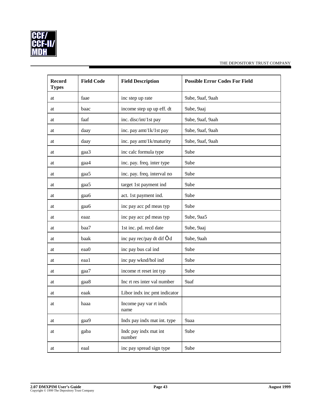

| <b>Record</b><br><b>Types</b> | <b>Field Code</b> | <b>Field Description</b>        | <b>Possible Error Codes For Field</b> |
|-------------------------------|-------------------|---------------------------------|---------------------------------------|
| at                            | faae              | inc step up rate                | 9abe, 9aaf, 9aah                      |
| at                            | baac              | income step up up eff. dt       | 9abe, 9aaj                            |
| at                            | faaf              | inc. disc/int/1st pay           | 9abe, 9aaf, 9aah                      |
| at                            | daay              | inc. pay amt/1k/1st pay         | 9abe, 9aaf, 9aah                      |
| at                            | daay              | inc. pay amt/1k/maturity        | 9abe, 9aaf, 9aah                      |
| at                            | gaa3              | inc calc formula type           | 9abe                                  |
| at                            | gaa4              | inc. pay. freq. inter type      | 9abe                                  |
| at                            | gaa5              | inc. pay. freq. interval no     | 9abe                                  |
| at                            | gaa5              | target 1st payment ind          | 9abe                                  |
| at                            | gaa6              | act. 1st payment ind.           | 9abe                                  |
| at                            | gaa6              | inc pay acc pd meas typ         | 9abe                                  |
| at                            | eaaz              | inc pay acc pd meas typ         | 9abe, 9aa5                            |
| at                            | baa7              | 1st inc. pd. recd date          | 9abe, 9aaj                            |
| at                            | baak              | inc pay rec/pay dt dif  d       | 9abe, 9aah                            |
| at                            | eaa0              | inc pay bus cal ind             | 9abe                                  |
| at                            | eaa1              | inc pay wknd/hol ind            | 9abe                                  |
| at                            | gaa7              | income rt reset int typ         | 9abe                                  |
| at                            | gaa8              | Inc rt res inter val number     | 9aaf                                  |
| at                            | eaak              | Libor indx inc pmt indicator    |                                       |
| at                            | haaa              | Income pay var rt indx<br>name  |                                       |
| at                            | gaa9              | Indx pay indx mat int. type     | 9aaa                                  |
| at                            | gaba              | Inde pay indx mat int<br>number | 9abe                                  |
| at                            | eaal              | inc pay spread sign type        | 9abe                                  |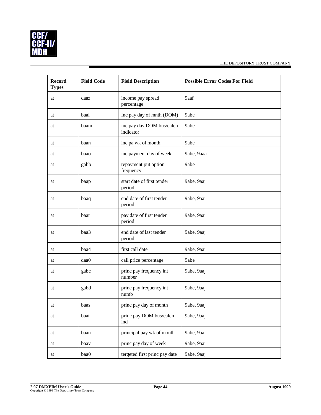

| <b>Record</b><br><b>Types</b> | <b>Field Code</b> | <b>Field Description</b>               | <b>Possible Error Codes For Field</b> |
|-------------------------------|-------------------|----------------------------------------|---------------------------------------|
| at                            | daaz              | income pay spread<br>percentage        | 9aaf                                  |
| at                            | baal              | Inc pay day of mnth (DOM)              | 9abe                                  |
| at                            | baam              | inc pay day DOM bus/calen<br>indicator | 9abe                                  |
| at                            | baan              | inc pa wk of month                     | 9abe                                  |
| at                            | baao              | inc payment day of week                | 9abe, 9aaa                            |
| at                            | gabb              | repayment put option<br>frequency      | 9abe                                  |
| at                            | baap              | start date of first tender<br>period   | 9abe, 9aaj                            |
| at                            | baaq              | end date of first tender<br>period     | 9abe, 9aaj                            |
| at                            | baar              | pay date of first tender<br>period     | 9abe, 9aaj                            |
| at                            | baa3              | end date of last tender<br>period      | 9abe, 9aaj                            |
| at                            | baa4              | first call date                        | 9abe, 9aaj                            |
| at                            | daa0              | call price percentage                  | 9abe                                  |
| at                            | gabc              | princ pay frequency int<br>number      | 9abe, 9aaj                            |
| at                            | gabd              | princ pay frequency int<br>numb        | 9abe, 9aaj                            |
| at                            | baas              | princ pay day of month                 | 9abe, 9aaj                            |
| at                            | baat              | princ pay DOM bus/calen<br>ind         | 9abe, 9aaj                            |
| at                            | baau              | principal pay wk of month              | 9abe, 9aaj                            |
| at                            | baav              | princ pay day of week                  | 9abe, 9aaj                            |
| at                            | baa0              | tergeted first princ pay date          | 9abe, 9aaj                            |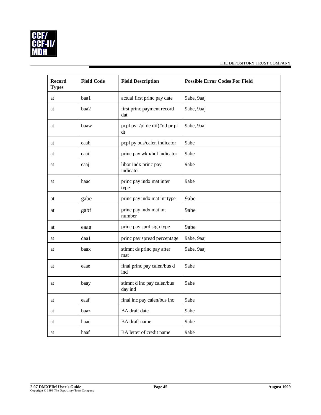

| <b>Record</b><br><b>Types</b> | <b>Field Code</b> | <b>Field Description</b>              | <b>Possible Error Codes For Field</b> |  |
|-------------------------------|-------------------|---------------------------------------|---------------------------------------|--|
| at                            | baa1              | actual first princ pay date           | 9abe, 9aaj                            |  |
| at                            | baa2              | first princ payment record<br>dat     | 9abe, 9aaj                            |  |
| at                            | baaw              | pcpl py r/pl de dif(#od pr pl<br>dt   | 9abe, 9aaj                            |  |
| at                            | eaah              | pcpl py bus/calen indicator           | 9abe                                  |  |
| at                            | eaai              | princ pay wkn/hol indicator           | 9abe                                  |  |
| at                            | eaaj              | libor indx princ pay<br>indicator     | 9abe                                  |  |
| at                            | haac              | princ pay indx mat inter<br>type      | 9abe                                  |  |
| at                            | gabe              | princ pay indx mat int type           | 9abe                                  |  |
| at                            | gabf              | princ pay indx mat int<br>number      | 9abe                                  |  |
| at                            | eaag              | princ pay sprd sign type              | 9abe                                  |  |
| at                            | daa1              | princ pay spread percentage           | 9abe, 9aaj                            |  |
| at                            | baax              | stlmnt ds princ pay after<br>mat      | 9abe, 9aaj                            |  |
| at                            | eaae              | final princ pay calen/bus d<br>ind    | 9abe                                  |  |
| at                            | baay              | stlmnt d inc pay calen/bus<br>day ind | 9abe                                  |  |
| at                            | eaaf              | final inc pay calen/bus inc           | 9abe                                  |  |
| at                            | baaz              | <b>BA</b> draft date                  | 9abe                                  |  |
| at                            | haae              | <b>BA</b> draft name                  | 9abe                                  |  |
| at                            | haaf              | BA letter of credit name              | 9abe                                  |  |